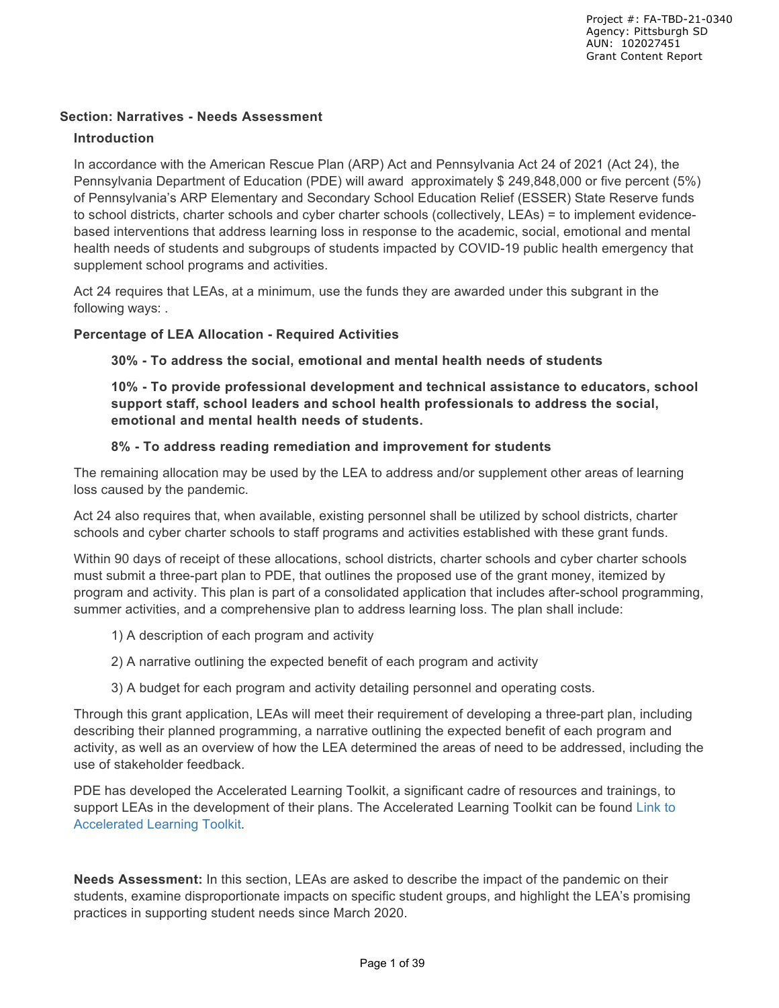### **Section: Narratives - Needs Assessment**

#### **Introduction**

In accordance with the American Rescue Plan (ARP) Act and Pennsylvania Act 24 of 2021 (Act 24), the Pennsylvania Department of Education (PDE) will award approximately \$ 249,848,000 or five percent (5%) of Pennsylvania's ARP Elementary and Secondary School Education Relief (ESSER) State Reserve funds to school districts, charter schools and cyber charter schools (collectively, LEAs) = to implement evidencebased interventions that address learning loss in response to the academic, social, emotional and mental health needs of students and subgroups of students impacted by COVID-19 public health emergency that supplement school programs and activities.

Act 24 requires that LEAs, at a minimum, use the funds they are awarded under this subgrant in the following ways: .

#### **Percentage of LEA Allocation - Required Activities**

**30% - To address the social, emotional and mental health needs of students**

**10% - To provide professional development and technical assistance to educators, school support staff, school leaders and school health professionals to address the social, emotional and mental health needs of students.** 

#### **8% - To address reading remediation and improvement for students**

The remaining allocation may be used by the LEA to address and/or supplement other areas of learning loss caused by the pandemic.

Act 24 also requires that, when available, existing personnel shall be utilized by school districts, charter schools and cyber charter schools to staff programs and activities established with these grant funds.

Within 90 days of receipt of these allocations, school districts, charter schools and cyber charter schools must submit a three-part plan to PDE, that outlines the proposed use of the grant money, itemized by program and activity. This plan is part of a consolidated application that includes after-school programming, summer activities, and a comprehensive plan to address learning loss. The plan shall include:

- 1) A description of each program and activity
- 2) A narrative outlining the expected benefit of each program and activity
- 3) A budget for each program and activity detailing personnel and operating costs.

Through this grant application, LEAs will meet their requirement of developing a three-part plan, including describing their planned programming, a narrative outlining the expected benefit of each program and activity, as well as an overview of how the LEA determined the areas of need to be addressed, including the use of stakeholder feedback.

PDE has developed the Accelerated Learning Toolkit, a significant cadre of resources and trainings, to support LEAs in the development of their plans. The Accelerated Learning Toolkit can be found Link to Accelerated Learning Toolkit.

**Needs Assessment:** In this section, LEAs are asked to describe the impact of the pandemic on their students, examine disproportionate impacts on specific student groups, and highlight the LEA's promising practices in supporting student needs since March 2020.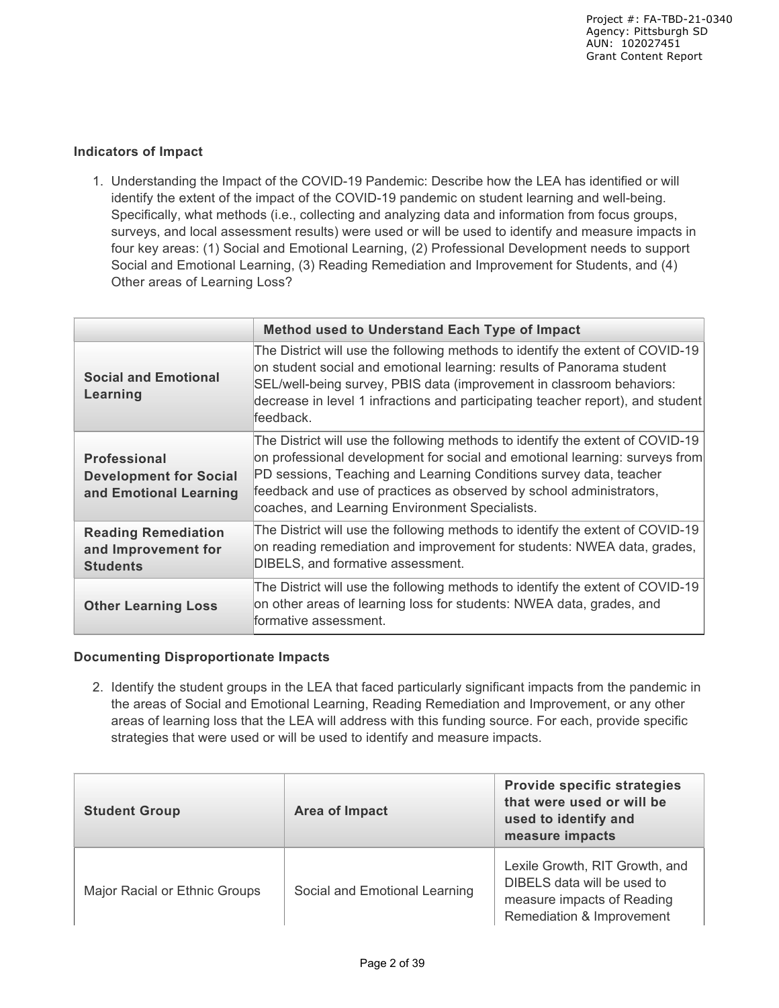### **Indicators of Impact**

1. Understanding the Impact of the COVID-19 Pandemic: Describe how the LEA has identified or will identify the extent of the impact of the COVID-19 pandemic on student learning and well-being. Specifically, what methods (i.e., collecting and analyzing data and information from focus groups, surveys, and local assessment results) were used or will be used to identify and measure impacts in four key areas: (1) Social and Emotional Learning, (2) Professional Development needs to support Social and Emotional Learning, (3) Reading Remediation and Improvement for Students, and (4) Other areas of Learning Loss?

|                                                                                | Method used to Understand Each Type of Impact                                                                                                                                                                                                                                                                                                                |
|--------------------------------------------------------------------------------|--------------------------------------------------------------------------------------------------------------------------------------------------------------------------------------------------------------------------------------------------------------------------------------------------------------------------------------------------------------|
| <b>Social and Emotional</b><br>Learning                                        | The District will use the following methods to identify the extent of COVID-19<br>on student social and emotional learning: results of Panorama student<br>SEL/well-being survey, PBIS data (improvement in classroom behaviors:<br>decrease in level 1 infractions and participating teacher report), and student<br>lfeedback.                             |
| <b>Professional</b><br><b>Development for Social</b><br>and Emotional Learning | The District will use the following methods to identify the extent of COVID-19<br>on professional development for social and emotional learning: surveys from<br>PD sessions, Teaching and Learning Conditions survey data, teacher<br>feedback and use of practices as observed by school administrators,<br>coaches, and Learning Environment Specialists. |
| <b>Reading Remediation</b><br>and Improvement for<br><b>Students</b>           | The District will use the following methods to identify the extent of COVID-19<br>on reading remediation and improvement for students: NWEA data, grades,<br>DIBELS, and formative assessment.                                                                                                                                                               |
| <b>Other Learning Loss</b>                                                     | The District will use the following methods to identify the extent of COVID-19<br>on other areas of learning loss for students: NWEA data, grades, and<br>formative assessment.                                                                                                                                                                              |

### **Documenting Disproportionate Impacts**

2. Identify the student groups in the LEA that faced particularly significant impacts from the pandemic in the areas of Social and Emotional Learning, Reading Remediation and Improvement, or any other areas of learning loss that the LEA will address with this funding source. For each, provide specific strategies that were used or will be used to identify and measure impacts.

| <b>Student Group</b>          | Area of Impact                | <b>Provide specific strategies</b><br>that were used or will be<br>used to identify and<br>measure impacts               |
|-------------------------------|-------------------------------|--------------------------------------------------------------------------------------------------------------------------|
| Major Racial or Ethnic Groups | Social and Emotional Learning | Lexile Growth, RIT Growth, and<br>DIBELS data will be used to<br>measure impacts of Reading<br>Remediation & Improvement |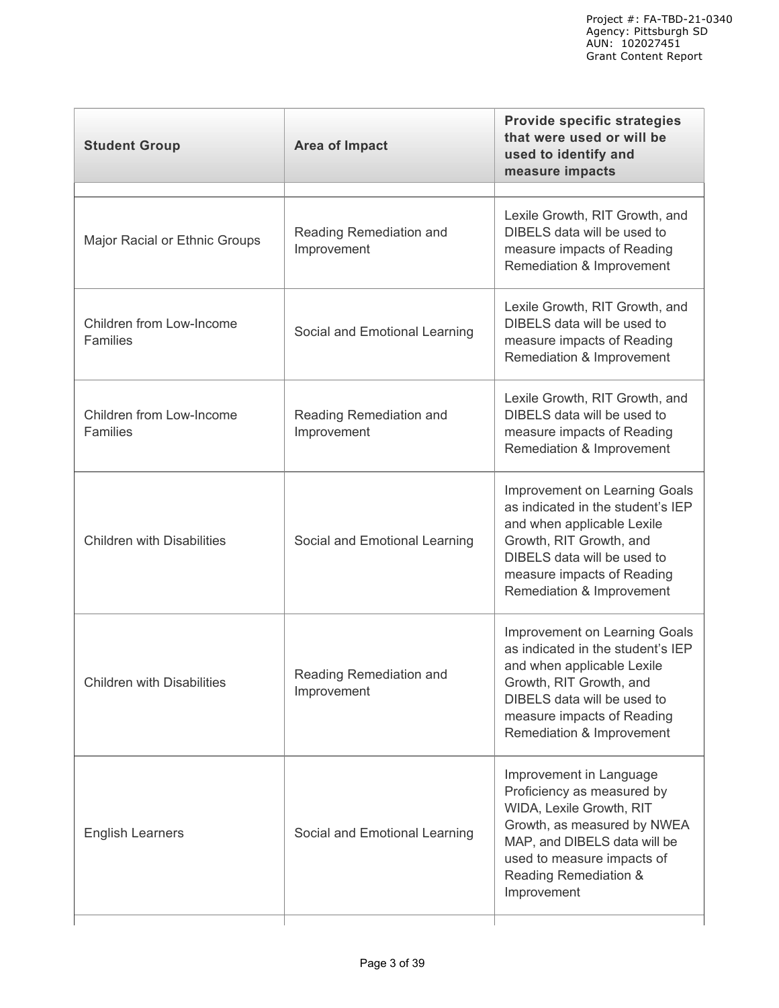| Reading Remediation and<br>Improvement | Lexile Growth, RIT Growth, and<br>DIBELS data will be used to<br>measure impacts of Reading<br>Remediation & Improvement                                                                                                     |
|----------------------------------------|------------------------------------------------------------------------------------------------------------------------------------------------------------------------------------------------------------------------------|
| Social and Emotional Learning          | Lexile Growth, RIT Growth, and<br>DIBELS data will be used to<br>measure impacts of Reading<br>Remediation & Improvement                                                                                                     |
| Reading Remediation and<br>Improvement | Lexile Growth, RIT Growth, and<br>DIBELS data will be used to<br>measure impacts of Reading<br>Remediation & Improvement                                                                                                     |
| Social and Emotional Learning          | Improvement on Learning Goals<br>as indicated in the student's IEP<br>and when applicable Lexile<br>Growth, RIT Growth, and<br>DIBELS data will be used to<br>measure impacts of Reading<br>Remediation & Improvement        |
| Reading Remediation and<br>Improvement | <b>Improvement on Learning Goals</b><br>as indicated in the student's IEP<br>and when applicable Lexile<br>Growth, RIT Growth, and<br>DIBELS data will be used to<br>measure impacts of Reading<br>Remediation & Improvement |
| Social and Emotional Learning          | Improvement in Language<br>Proficiency as measured by<br>WIDA, Lexile Growth, RIT<br>Growth, as measured by NWEA<br>MAP, and DIBELS data will be<br>used to measure impacts of<br>Reading Remediation &<br>Improvement       |
|                                        |                                                                                                                                                                                                                              |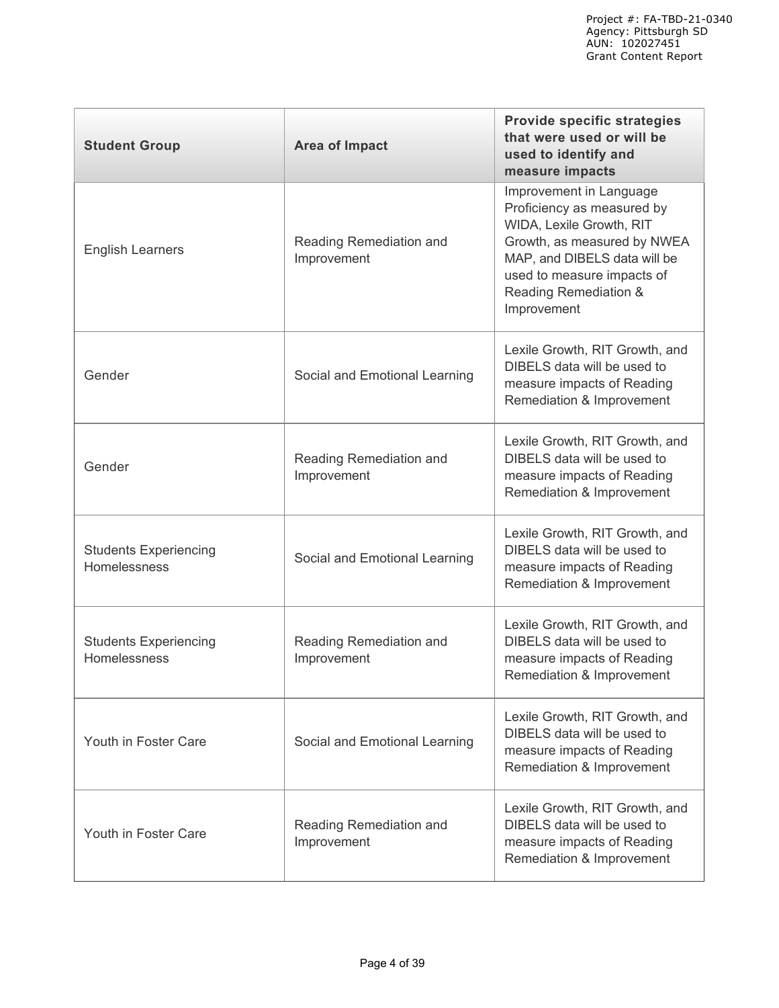| <b>Student Group</b>                         | <b>Area of Impact</b>                  | <b>Provide specific strategies</b><br>that were used or will be<br>used to identify and<br>measure impacts                                                                                                             |
|----------------------------------------------|----------------------------------------|------------------------------------------------------------------------------------------------------------------------------------------------------------------------------------------------------------------------|
| <b>English Learners</b>                      | Reading Remediation and<br>Improvement | Improvement in Language<br>Proficiency as measured by<br>WIDA, Lexile Growth, RIT<br>Growth, as measured by NWEA<br>MAP, and DIBELS data will be<br>used to measure impacts of<br>Reading Remediation &<br>Improvement |
| Gender                                       | Social and Emotional Learning          | Lexile Growth, RIT Growth, and<br>DIBELS data will be used to<br>measure impacts of Reading<br>Remediation & Improvement                                                                                               |
| Gender                                       | Reading Remediation and<br>Improvement | Lexile Growth, RIT Growth, and<br>DIBELS data will be used to<br>measure impacts of Reading<br>Remediation & Improvement                                                                                               |
| <b>Students Experiencing</b><br>Homelessness | Social and Emotional Learning          | Lexile Growth, RIT Growth, and<br>DIBELS data will be used to<br>measure impacts of Reading<br>Remediation & Improvement                                                                                               |
| <b>Students Experiencing</b><br>Homelessness | Reading Remediation and<br>Improvement | Lexile Growth, RIT Growth, and<br>DIBELS data will be used to<br>measure impacts of Reading<br>Remediation & Improvement                                                                                               |
| Youth in Foster Care                         | Social and Emotional Learning          | Lexile Growth, RIT Growth, and<br>DIBELS data will be used to<br>measure impacts of Reading<br>Remediation & Improvement                                                                                               |
| Youth in Foster Care                         | Reading Remediation and<br>Improvement | Lexile Growth, RIT Growth, and<br>DIBELS data will be used to<br>measure impacts of Reading<br>Remediation & Improvement                                                                                               |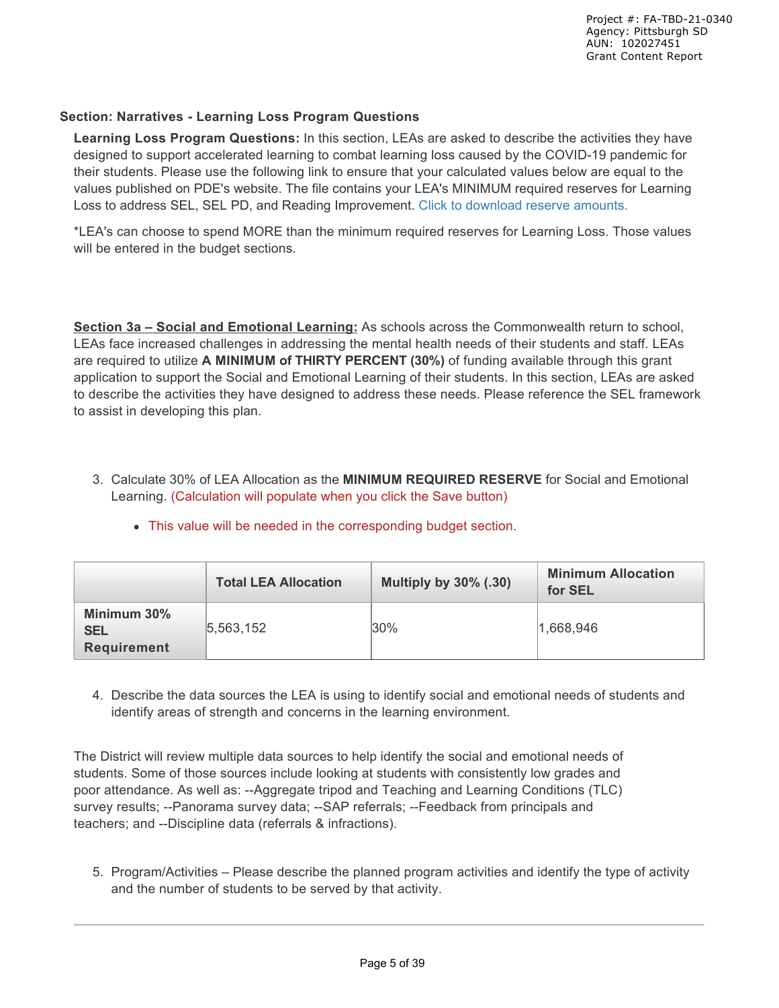### **Section: Narratives - Learning Loss Program Questions**

**Learning Loss Program Questions:** In this section, LEAs are asked to describe the activities they have designed to support accelerated learning to combat learning loss caused by the COVID-19 pandemic for their students. Please use the following link to ensure that your calculated values below are equal to the values published on PDE's website. The file contains your LEA's MINIMUM required reserves for Learning Loss to address SEL, SEL PD, and Reading Improvement. Click to download reserve amounts.

\*LEA's can choose to spend MORE than the minimum required reserves for Learning Loss. Those values will be entered in the budget sections.

**Section 3a – Social and Emotional Learning:** As schools across the Commonwealth return to school, LEAs face increased challenges in addressing the mental health needs of their students and staff. LEAs are required to utilize **A MINIMUM of THIRTY PERCENT (30%)** of funding available through this grant application to support the Social and Emotional Learning of their students. In this section, LEAs are asked to describe the activities they have designed to address these needs. Please reference the SEL framework to assist in developing this plan.

3. Calculate 30% of LEA Allocation as the **MINIMUM REQUIRED RESERVE** for Social and Emotional Learning. (Calculation will populate when you click the Save button)

|                                                 | <b>Total LEA Allocation</b> | <b>Multiply by 30% (.30)</b> | <b>Minimum Allocation</b><br>for SEL |
|-------------------------------------------------|-----------------------------|------------------------------|--------------------------------------|
| Minimum 30%<br><b>SEL</b><br><b>Requirement</b> | 5,563,152                   | 30%                          | 1,668,946                            |

This value will be needed in the corresponding budget section.

4. Describe the data sources the LEA is using to identify social and emotional needs of students and identify areas of strength and concerns in the learning environment.

The District will review multiple data sources to help identify the social and emotional needs of students. Some of those sources include looking at students with consistently low grades and poor attendance. As well as: --Aggregate tripod and Teaching and Learning Conditions (TLC) survey results; --Panorama survey data; --SAP referrals; --Feedback from principals and teachers; and --Discipline data (referrals & infractions).

5. Program/Activities – Please describe the planned program activities and identify the type of activity and the number of students to be served by that activity.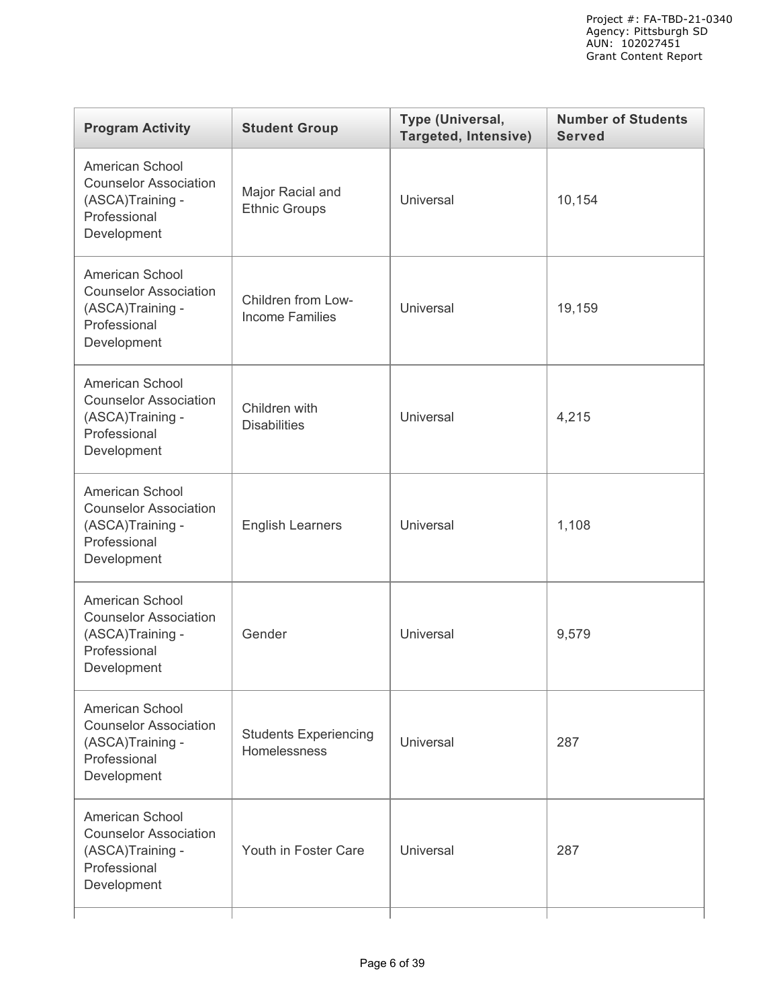| <b>Program Activity</b>                                                                            | <b>Student Group</b>                         | Type (Universal,<br><b>Targeted, Intensive)</b> | <b>Number of Students</b><br><b>Served</b> |
|----------------------------------------------------------------------------------------------------|----------------------------------------------|-------------------------------------------------|--------------------------------------------|
| American School<br><b>Counselor Association</b><br>(ASCA)Training -<br>Professional<br>Development | Major Racial and<br><b>Ethnic Groups</b>     | Universal                                       | 10,154                                     |
| American School<br><b>Counselor Association</b><br>(ASCA)Training -<br>Professional<br>Development | Children from Low-<br><b>Income Families</b> | Universal                                       | 19,159                                     |
| American School<br><b>Counselor Association</b><br>(ASCA)Training -<br>Professional<br>Development | Children with<br><b>Disabilities</b>         | Universal                                       | 4,215                                      |
| American School<br><b>Counselor Association</b><br>(ASCA)Training -<br>Professional<br>Development | <b>English Learners</b>                      | Universal                                       | 1,108                                      |
| American School<br><b>Counselor Association</b><br>(ASCA)Training -<br>Professional<br>Development | Gender                                       | Universal                                       | 9,579                                      |
| American School<br><b>Counselor Association</b><br>(ASCA)Training -<br>Professional<br>Development | <b>Students Experiencing</b><br>Homelessness | <b>Universal</b>                                | 287                                        |
| American School<br><b>Counselor Association</b><br>(ASCA)Training -<br>Professional<br>Development | Youth in Foster Care                         | Universal                                       | 287                                        |
|                                                                                                    |                                              |                                                 |                                            |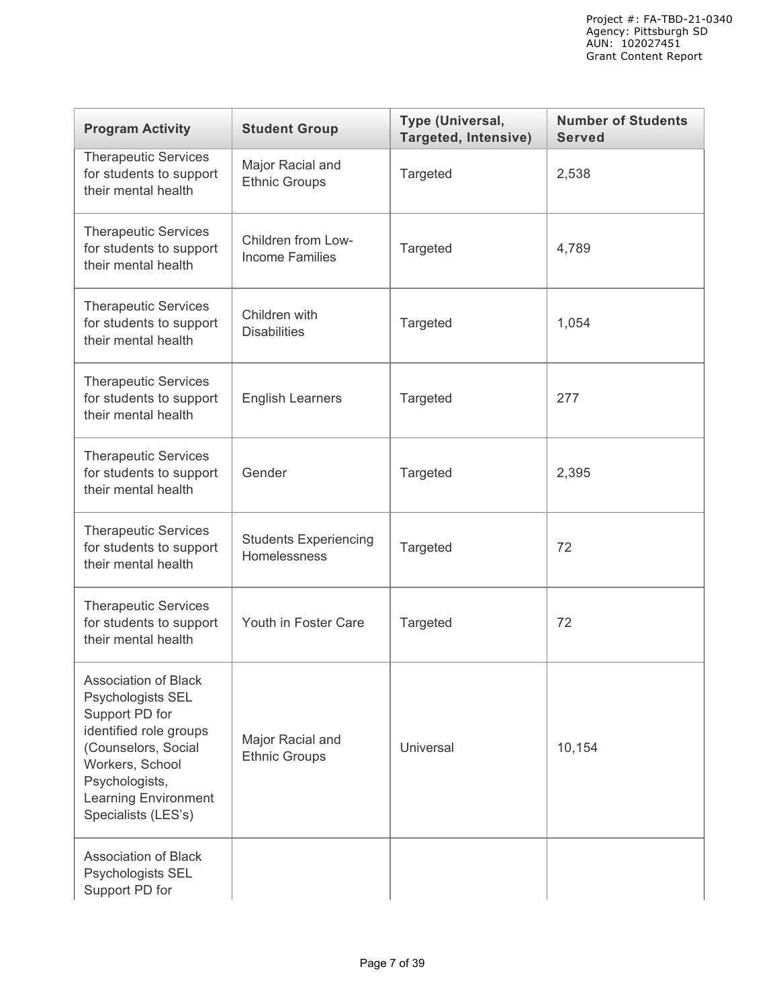| <b>Program Activity</b>                                                                                                                                                                                 | <b>Student Group</b>                         | Type (Universal,<br><b>Targeted, Intensive)</b> | <b>Number of Students</b><br><b>Served</b> |
|---------------------------------------------------------------------------------------------------------------------------------------------------------------------------------------------------------|----------------------------------------------|-------------------------------------------------|--------------------------------------------|
| <b>Therapeutic Services</b><br>for students to support<br>their mental health                                                                                                                           | Major Racial and<br><b>Ethnic Groups</b>     | Targeted                                        | 2,538                                      |
| <b>Therapeutic Services</b><br>for students to support<br>their mental health                                                                                                                           | Children from Low-<br><b>Income Families</b> | Targeted                                        | 4,789                                      |
| <b>Therapeutic Services</b><br>for students to support<br>their mental health                                                                                                                           | Children with<br><b>Disabilities</b>         | Targeted                                        | 1,054                                      |
| <b>Therapeutic Services</b><br>for students to support<br>their mental health                                                                                                                           | <b>English Learners</b>                      | Targeted                                        | 277                                        |
| <b>Therapeutic Services</b><br>for students to support<br>their mental health                                                                                                                           | Gender                                       | Targeted                                        | 2,395                                      |
| <b>Therapeutic Services</b><br>for students to support<br>their mental health                                                                                                                           | <b>Students Experiencing</b><br>Homelessness | Targeted                                        | 72                                         |
| <b>Therapeutic Services</b><br>for students to support<br>their mental health                                                                                                                           | Youth in Foster Care                         | Targeted                                        | 72                                         |
| Association of Black<br>Psychologists SEL<br>Support PD for<br>identified role groups<br>(Counselors, Social<br>Workers, School<br>Psychologists,<br><b>Learning Environment</b><br>Specialists (LES's) | Major Racial and<br><b>Ethnic Groups</b>     | Universal                                       | 10,154                                     |
| Association of Black<br>Psychologists SEL<br>Support PD for                                                                                                                                             |                                              |                                                 |                                            |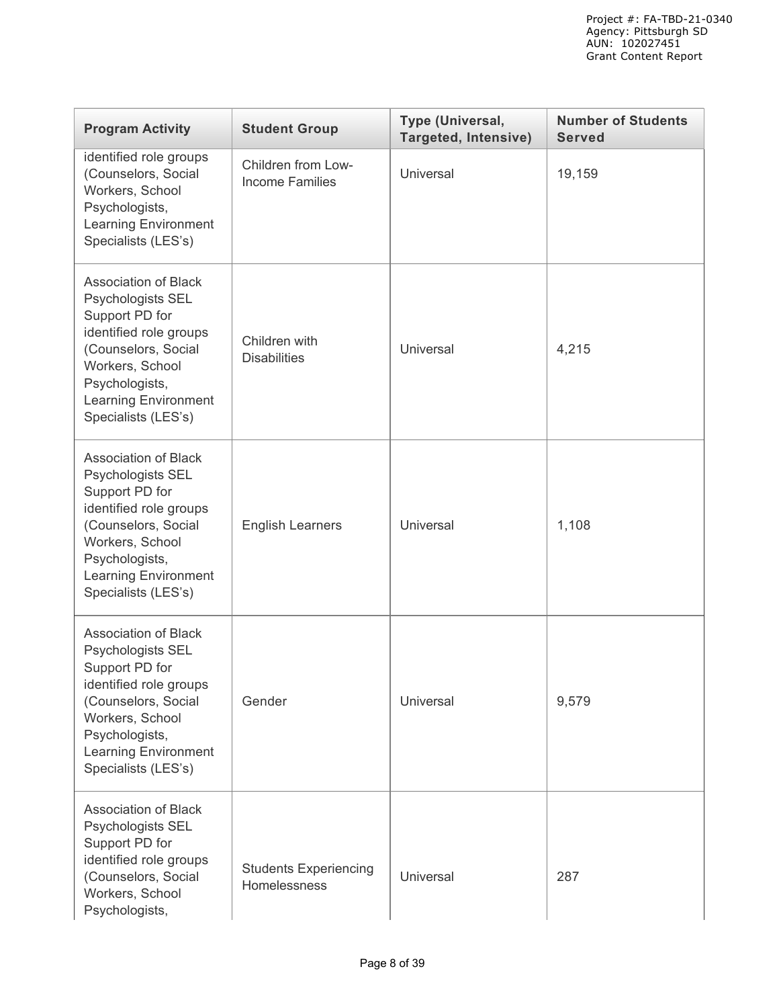| <b>Program Activity</b>                                                                                                                                                                                        | <b>Student Group</b>                         | Type (Universal,<br><b>Targeted, Intensive)</b> | <b>Number of Students</b><br><b>Served</b> |
|----------------------------------------------------------------------------------------------------------------------------------------------------------------------------------------------------------------|----------------------------------------------|-------------------------------------------------|--------------------------------------------|
| identified role groups<br>(Counselors, Social<br>Workers, School<br>Psychologists,<br><b>Learning Environment</b><br>Specialists (LES's)                                                                       | Children from Low-<br><b>Income Families</b> | Universal                                       | 19,159                                     |
| <b>Association of Black</b><br>Psychologists SEL<br>Support PD for<br>identified role groups<br>(Counselors, Social<br>Workers, School<br>Psychologists,<br><b>Learning Environment</b><br>Specialists (LES's) | Children with<br><b>Disabilities</b>         | Universal                                       | 4,215                                      |
| <b>Association of Black</b><br>Psychologists SEL<br>Support PD for<br>identified role groups<br>(Counselors, Social<br>Workers, School<br>Psychologists,<br><b>Learning Environment</b><br>Specialists (LES's) | <b>English Learners</b>                      | Universal                                       | 1,108                                      |
| <b>Association of Black</b><br>Psychologists SEL<br>Support PD for<br>identified role groups<br>(Counselors, Social<br>Workers, School<br>Psychologists,<br><b>Learning Environment</b><br>Specialists (LES's) | Gender                                       | Universal                                       | 9,579                                      |
| <b>Association of Black</b><br>Psychologists SEL<br>Support PD for<br>identified role groups<br>(Counselors, Social<br>Workers, School<br>Psychologists,                                                       | <b>Students Experiencing</b><br>Homelessness | Universal                                       | 287                                        |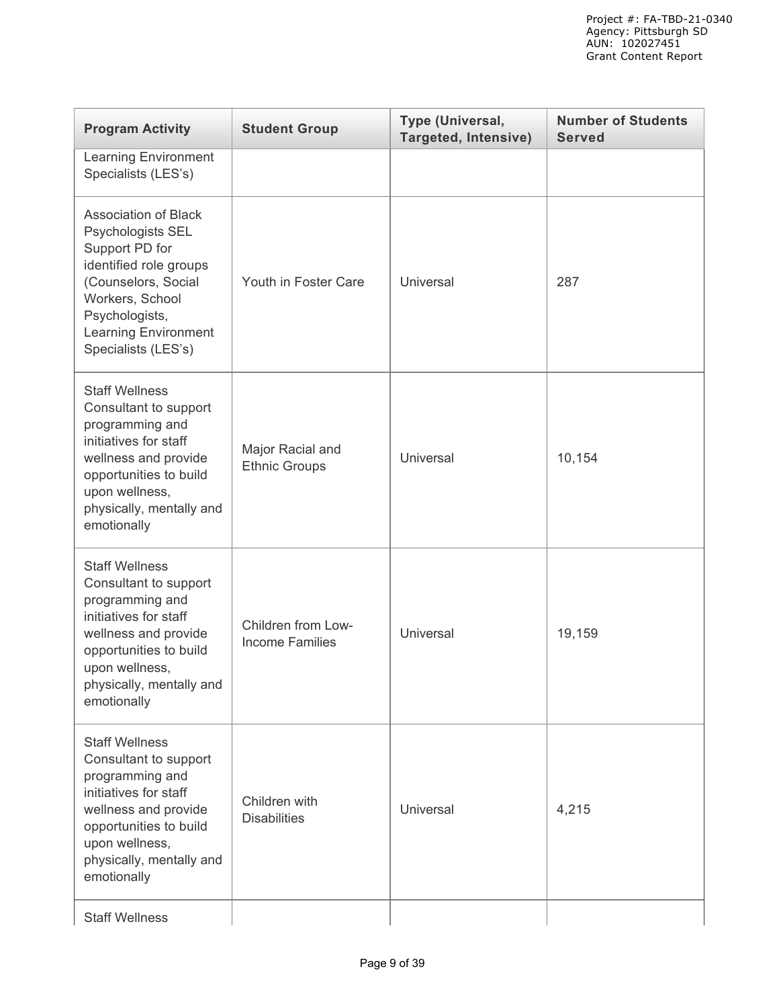| <b>Program Activity</b>                                                                                                                                                                                        | <b>Student Group</b>                         | Type (Universal,<br><b>Targeted, Intensive)</b> | <b>Number of Students</b><br><b>Served</b> |
|----------------------------------------------------------------------------------------------------------------------------------------------------------------------------------------------------------------|----------------------------------------------|-------------------------------------------------|--------------------------------------------|
| <b>Learning Environment</b><br>Specialists (LES's)                                                                                                                                                             |                                              |                                                 |                                            |
| <b>Association of Black</b><br>Psychologists SEL<br>Support PD for<br>identified role groups<br>(Counselors, Social<br>Workers, School<br>Psychologists,<br><b>Learning Environment</b><br>Specialists (LES's) | Youth in Foster Care                         | Universal                                       | 287                                        |
| <b>Staff Wellness</b><br>Consultant to support<br>programming and<br>initiatives for staff<br>wellness and provide<br>opportunities to build<br>upon wellness,<br>physically, mentally and<br>emotionally      | Major Racial and<br><b>Ethnic Groups</b>     | <b>Universal</b>                                | 10,154                                     |
| <b>Staff Wellness</b><br>Consultant to support<br>programming and<br>initiatives for staff<br>wellness and provide<br>opportunities to build<br>upon wellness,<br>physically, mentally and<br>emotionally      | Children from Low-<br><b>Income Families</b> | <b>Universal</b>                                | 19,159                                     |
| <b>Staff Wellness</b><br>Consultant to support<br>programming and<br>initiatives for staff<br>wellness and provide<br>opportunities to build<br>upon wellness,<br>physically, mentally and<br>emotionally      | Children with<br><b>Disabilities</b>         | Universal                                       | 4,215                                      |
| <b>Staff Wellness</b>                                                                                                                                                                                          |                                              |                                                 |                                            |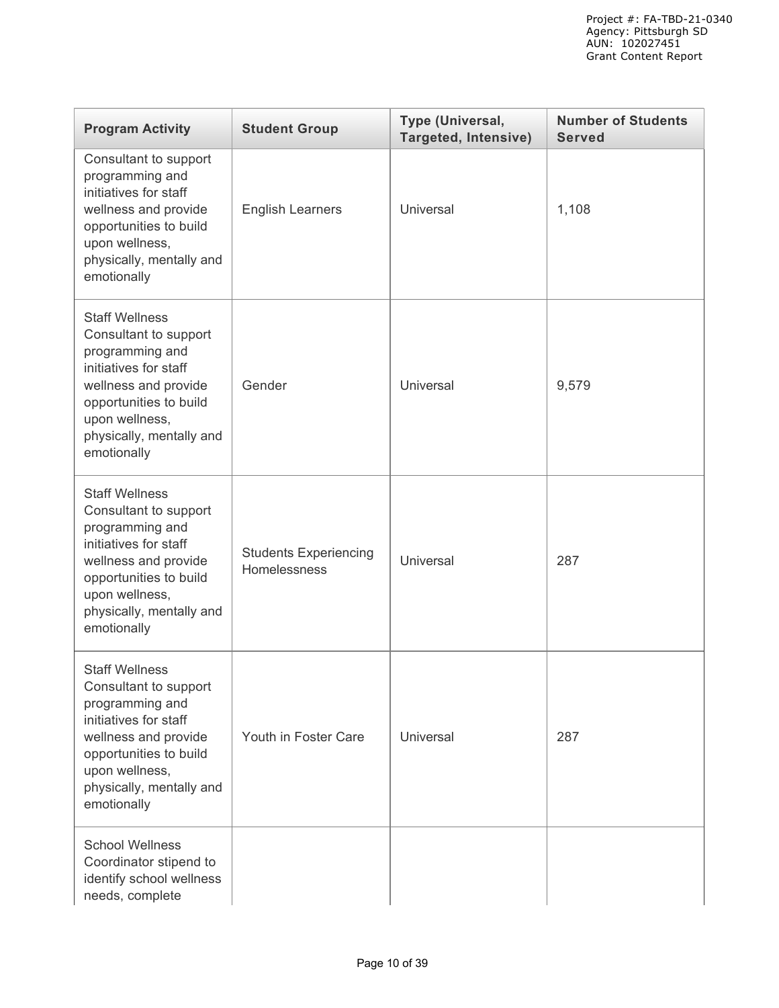| <b>Program Activity</b>                                                                                                                                                                                   | <b>Student Group</b>                         | Type (Universal,<br><b>Targeted, Intensive)</b> | <b>Number of Students</b><br><b>Served</b> |
|-----------------------------------------------------------------------------------------------------------------------------------------------------------------------------------------------------------|----------------------------------------------|-------------------------------------------------|--------------------------------------------|
| Consultant to support<br>programming and<br>initiatives for staff<br>wellness and provide<br>opportunities to build<br>upon wellness,<br>physically, mentally and<br>emotionally                          | <b>English Learners</b>                      | Universal                                       | 1,108                                      |
| <b>Staff Wellness</b><br>Consultant to support<br>programming and<br>initiatives for staff<br>wellness and provide<br>opportunities to build<br>upon wellness,<br>physically, mentally and<br>emotionally | Gender                                       | Universal                                       | 9,579                                      |
| <b>Staff Wellness</b><br>Consultant to support<br>programming and<br>initiatives for staff<br>wellness and provide<br>opportunities to build<br>upon wellness,<br>physically, mentally and<br>emotionally | <b>Students Experiencing</b><br>Homelessness | <b>Universal</b>                                | 287                                        |
| <b>Staff Wellness</b><br>Consultant to support<br>programming and<br>initiatives for staff<br>wellness and provide<br>opportunities to build<br>upon wellness,<br>physically, mentally and<br>emotionally | Youth in Foster Care                         | Universal                                       | 287                                        |
| <b>School Wellness</b><br>Coordinator stipend to<br>identify school wellness<br>needs, complete                                                                                                           |                                              |                                                 |                                            |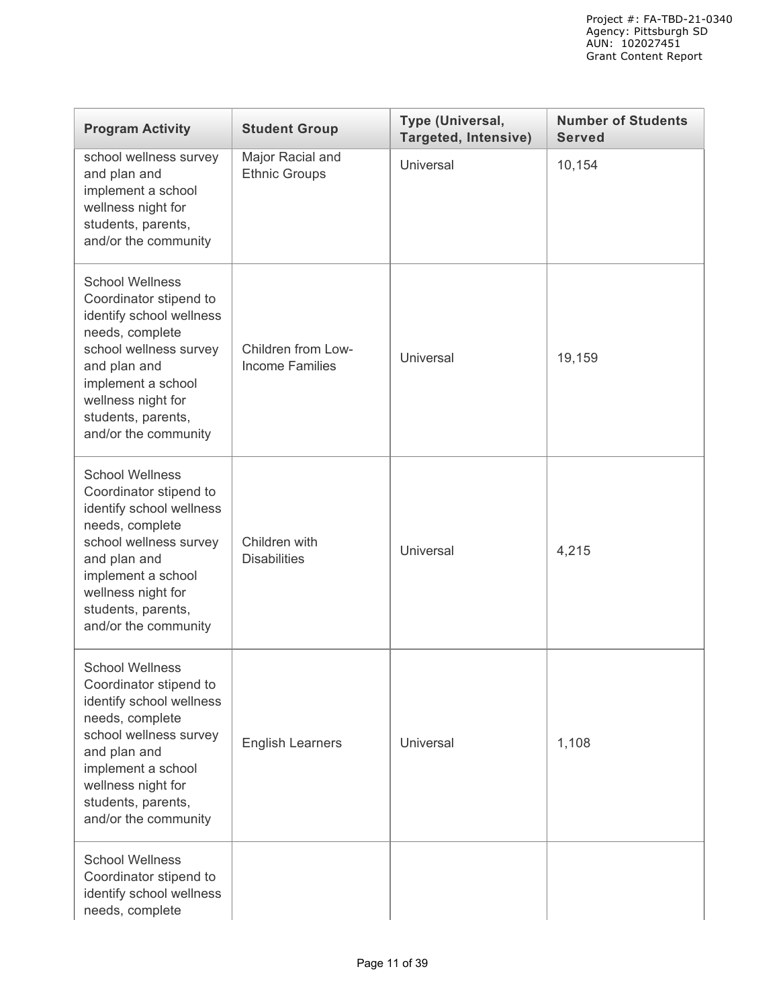| <b>Program Activity</b>                                                                                                                                                                                                             | <b>Student Group</b>                         | Type (Universal,<br><b>Targeted, Intensive)</b> | <b>Number of Students</b><br><b>Served</b> |
|-------------------------------------------------------------------------------------------------------------------------------------------------------------------------------------------------------------------------------------|----------------------------------------------|-------------------------------------------------|--------------------------------------------|
| school wellness survey<br>and plan and<br>implement a school<br>wellness night for<br>students, parents,<br>and/or the community                                                                                                    | Major Racial and<br><b>Ethnic Groups</b>     | Universal                                       | 10,154                                     |
| <b>School Wellness</b><br>Coordinator stipend to<br>identify school wellness<br>needs, complete<br>school wellness survey<br>and plan and<br>implement a school<br>wellness night for<br>students, parents,<br>and/or the community | Children from Low-<br><b>Income Families</b> | Universal                                       | 19,159                                     |
| <b>School Wellness</b><br>Coordinator stipend to<br>identify school wellness<br>needs, complete<br>school wellness survey<br>and plan and<br>implement a school<br>wellness night for<br>students, parents,<br>and/or the community | Children with<br><b>Disabilities</b>         | <b>Universal</b>                                | 4,215                                      |
| <b>School Wellness</b><br>Coordinator stipend to<br>identify school wellness<br>needs, complete<br>school wellness survey<br>and plan and<br>implement a school<br>wellness night for<br>students, parents,<br>and/or the community | <b>English Learners</b>                      | <b>Universal</b>                                | 1,108                                      |
| <b>School Wellness</b><br>Coordinator stipend to<br>identify school wellness<br>needs, complete                                                                                                                                     |                                              |                                                 |                                            |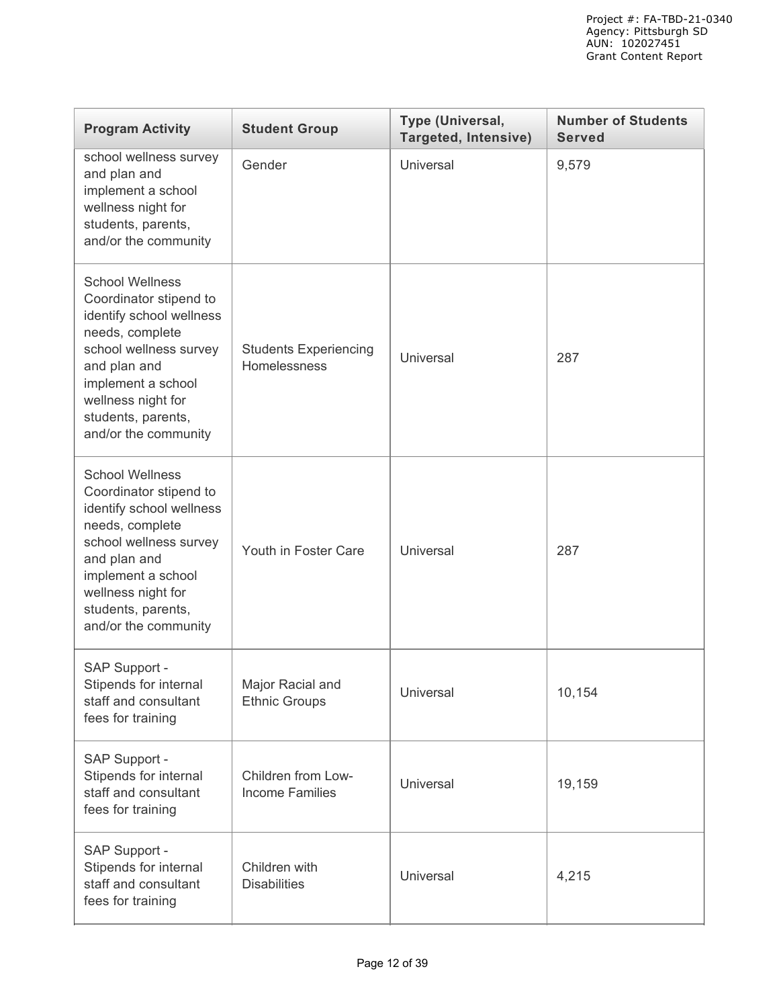| <b>Program Activity</b>                                                                                                                                                                                                             | <b>Student Group</b>                         | Type (Universal,<br><b>Targeted, Intensive)</b> | <b>Number of Students</b><br><b>Served</b> |
|-------------------------------------------------------------------------------------------------------------------------------------------------------------------------------------------------------------------------------------|----------------------------------------------|-------------------------------------------------|--------------------------------------------|
| school wellness survey<br>and plan and<br>implement a school<br>wellness night for<br>students, parents,<br>and/or the community                                                                                                    | Gender                                       | Universal                                       | 9,579                                      |
| <b>School Wellness</b><br>Coordinator stipend to<br>identify school wellness<br>needs, complete<br>school wellness survey<br>and plan and<br>implement a school<br>wellness night for<br>students, parents,<br>and/or the community | <b>Students Experiencing</b><br>Homelessness | Universal                                       | 287                                        |
| <b>School Wellness</b><br>Coordinator stipend to<br>identify school wellness<br>needs, complete<br>school wellness survey<br>and plan and<br>implement a school<br>wellness night for<br>students, parents,<br>and/or the community | Youth in Foster Care                         | Universal                                       | 287                                        |
| SAP Support -<br>Stipends for internal<br>staff and consultant<br>fees for training                                                                                                                                                 | Major Racial and<br><b>Ethnic Groups</b>     | Universal                                       | 10,154                                     |
| SAP Support -<br>Stipends for internal<br>staff and consultant<br>fees for training                                                                                                                                                 | Children from Low-<br><b>Income Families</b> | Universal                                       | 19,159                                     |
| SAP Support -<br>Stipends for internal<br>staff and consultant<br>fees for training                                                                                                                                                 | Children with<br><b>Disabilities</b>         | Universal                                       | 4,215                                      |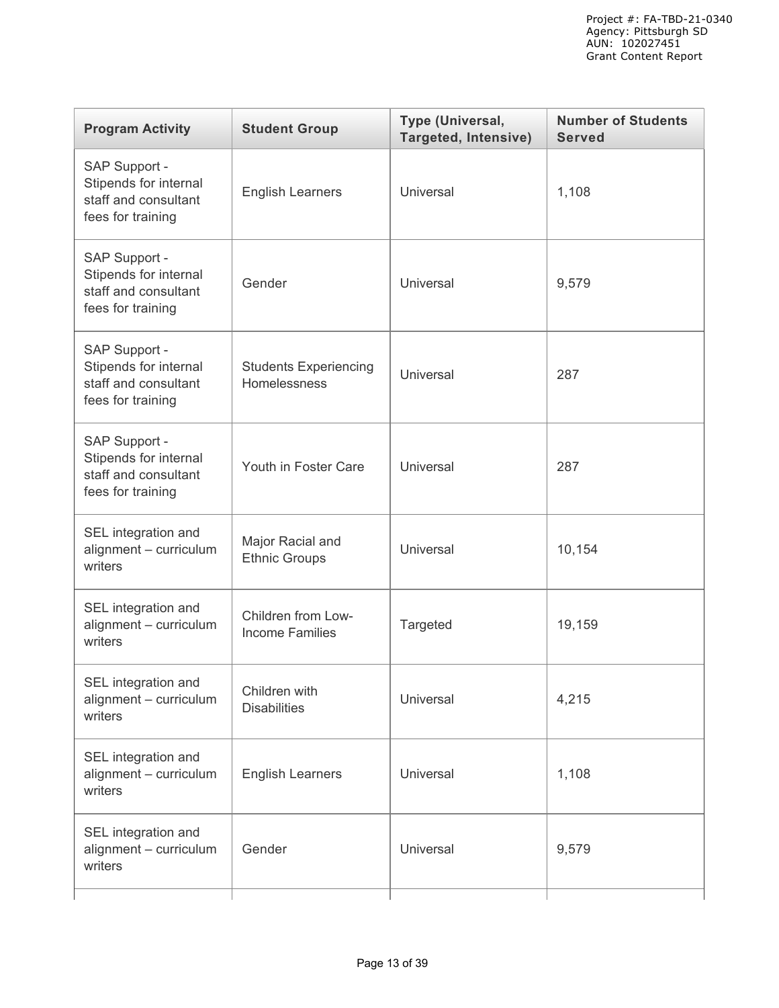| <b>Program Activity</b>                                                             | <b>Student Group</b>                         | Type (Universal,<br><b>Targeted, Intensive)</b> | <b>Number of Students</b><br><b>Served</b> |
|-------------------------------------------------------------------------------------|----------------------------------------------|-------------------------------------------------|--------------------------------------------|
| SAP Support -<br>Stipends for internal<br>staff and consultant<br>fees for training | <b>English Learners</b>                      | Universal                                       | 1,108                                      |
| SAP Support -<br>Stipends for internal<br>staff and consultant<br>fees for training | Gender                                       | Universal                                       | 9,579                                      |
| SAP Support -<br>Stipends for internal<br>staff and consultant<br>fees for training | <b>Students Experiencing</b><br>Homelessness | Universal                                       | 287                                        |
| SAP Support -<br>Stipends for internal<br>staff and consultant<br>fees for training | Youth in Foster Care                         | Universal                                       | 287                                        |
| SEL integration and<br>alignment - curriculum<br>writers                            | Major Racial and<br><b>Ethnic Groups</b>     | Universal                                       | 10,154                                     |
| SEL integration and<br>alignment - curriculum<br>writers                            | Children from Low-<br><b>Income Families</b> | Targeted                                        | 19,159                                     |
| SEL integration and<br>alignment - curriculum<br>writers                            | Children with<br><b>Disabilities</b>         | Universal                                       | 4,215                                      |
| SEL integration and<br>alignment - curriculum<br>writers                            | <b>English Learners</b>                      | Universal                                       | 1,108                                      |
| SEL integration and<br>alignment - curriculum<br>writers                            | Gender                                       | Universal                                       | 9,579                                      |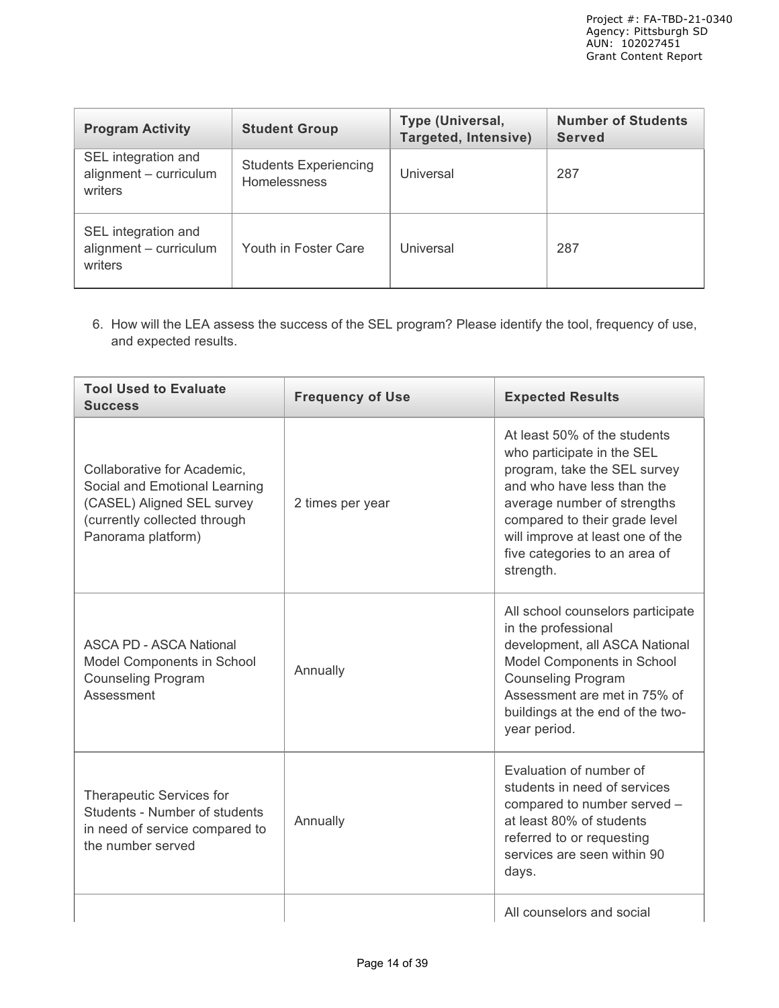| <b>Program Activity</b>                                  | <b>Student Group</b>                         | Type (Universal,<br>Targeted, Intensive) | <b>Number of Students</b><br><b>Served</b> |
|----------------------------------------------------------|----------------------------------------------|------------------------------------------|--------------------------------------------|
| SEL integration and<br>alignment - curriculum<br>writers | <b>Students Experiencing</b><br>Homelessness | Universal                                | 287                                        |
| SEL integration and<br>alignment - curriculum<br>writers | Youth in Foster Care                         | Universal                                | 287                                        |

6. How will the LEA assess the success of the SEL program? Please identify the tool, frequency of use, and expected results.

| <b>Tool Used to Evaluate</b><br><b>Success</b>                                                                                                   | <b>Frequency of Use</b> | <b>Expected Results</b>                                                                                                                                                                                                                                                    |
|--------------------------------------------------------------------------------------------------------------------------------------------------|-------------------------|----------------------------------------------------------------------------------------------------------------------------------------------------------------------------------------------------------------------------------------------------------------------------|
| Collaborative for Academic,<br>Social and Emotional Learning<br>(CASEL) Aligned SEL survey<br>(currently collected through<br>Panorama platform) | 2 times per year        | At least 50% of the students<br>who participate in the SEL<br>program, take the SEL survey<br>and who have less than the<br>average number of strengths<br>compared to their grade level<br>will improve at least one of the<br>five categories to an area of<br>strength. |
| <b>ASCA PD - ASCA National</b><br>Model Components in School<br><b>Counseling Program</b><br>Assessment                                          | Annually                | All school counselors participate<br>in the professional<br>development, all ASCA National<br>Model Components in School<br><b>Counseling Program</b><br>Assessment are met in 75% of<br>buildings at the end of the two-<br>year period.                                  |
| Therapeutic Services for<br>Students - Number of students<br>in need of service compared to<br>the number served                                 | Annually                | Evaluation of number of<br>students in need of services<br>compared to number served -<br>at least 80% of students<br>referred to or requesting<br>services are seen within 90<br>days.                                                                                    |
|                                                                                                                                                  |                         | All counselors and social                                                                                                                                                                                                                                                  |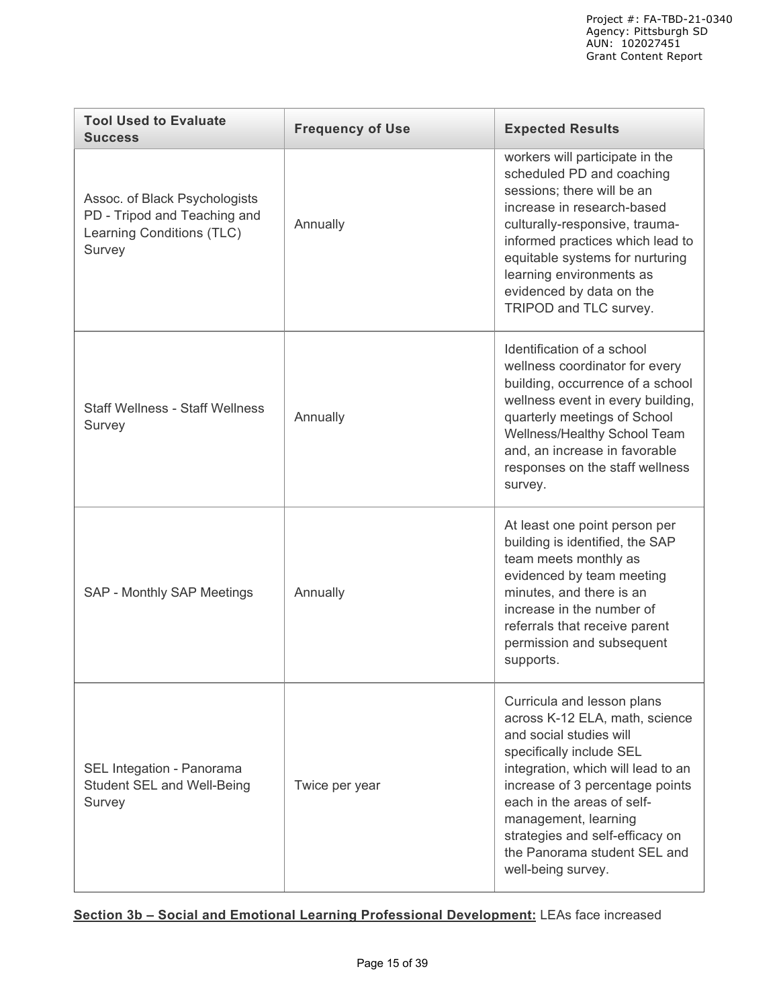| <b>Tool Used to Evaluate</b><br><b>Success</b>                                                       | <b>Frequency of Use</b> | <b>Expected Results</b>                                                                                                                                                                                                                                                                                                                     |
|------------------------------------------------------------------------------------------------------|-------------------------|---------------------------------------------------------------------------------------------------------------------------------------------------------------------------------------------------------------------------------------------------------------------------------------------------------------------------------------------|
| Assoc. of Black Psychologists<br>PD - Tripod and Teaching and<br>Learning Conditions (TLC)<br>Survey | Annually                | workers will participate in the<br>scheduled PD and coaching<br>sessions; there will be an<br>increase in research-based<br>culturally-responsive, trauma-<br>informed practices which lead to<br>equitable systems for nurturing<br>learning environments as<br>evidenced by data on the<br>TRIPOD and TLC survey.                         |
| <b>Staff Wellness - Staff Wellness</b><br>Survey                                                     | Annually                | Identification of a school<br>wellness coordinator for every<br>building, occurrence of a school<br>wellness event in every building,<br>quarterly meetings of School<br>Wellness/Healthy School Team<br>and, an increase in favorable<br>responses on the staff wellness<br>survey.                                                        |
| SAP - Monthly SAP Meetings                                                                           | Annually                | At least one point person per<br>building is identified, the SAP<br>team meets monthly as<br>evidenced by team meeting<br>minutes, and there is an<br>increase in the number of<br>referrals that receive parent<br>permission and subsequent<br>supports.                                                                                  |
| SEL Integation - Panorama<br>Student SEL and Well-Being<br>Survey                                    | Twice per year          | Curricula and lesson plans<br>across K-12 ELA, math, science<br>and social studies will<br>specifically include SEL<br>integration, which will lead to an<br>increase of 3 percentage points<br>each in the areas of self-<br>management, learning<br>strategies and self-efficacy on<br>the Panorama student SEL and<br>well-being survey. |

# **Section 3b – Social and Emotional Learning Professional Development:** LEAs face increased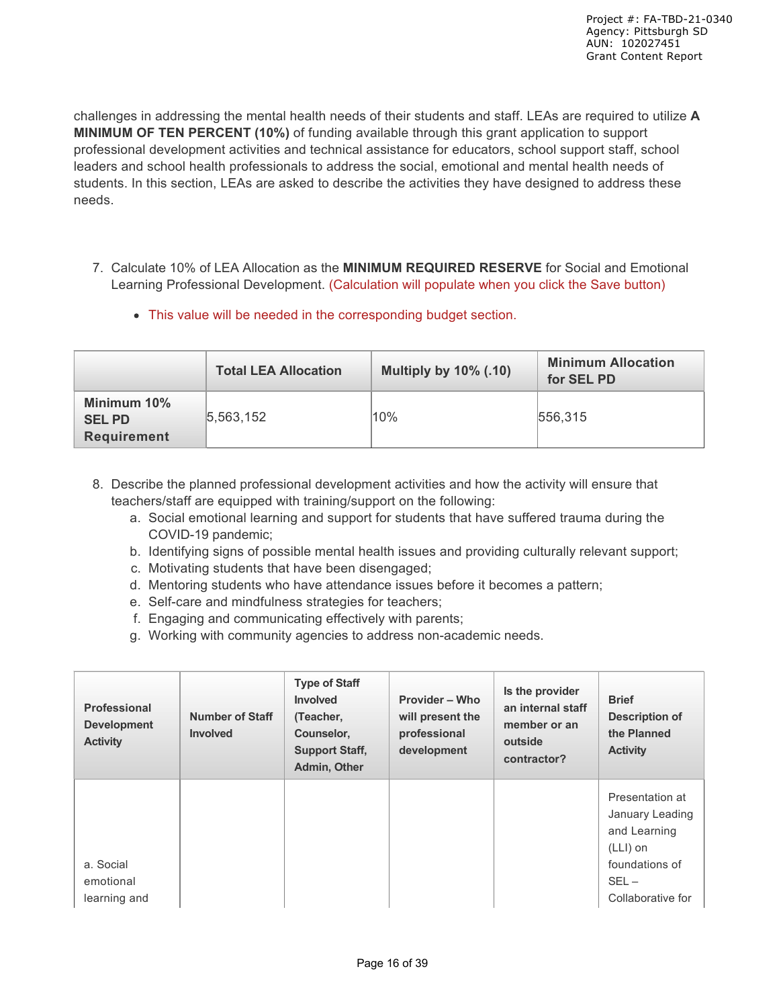challenges in addressing the mental health needs of their students and staff. LEAs are required to utilize **A MINIMUM OF TEN PERCENT (10%)** of funding available through this grant application to support professional development activities and technical assistance for educators, school support staff, school leaders and school health professionals to address the social, emotional and mental health needs of students. In this section, LEAs are asked to describe the activities they have designed to address these needs.

- 7. Calculate 10% of LEA Allocation as the **MINIMUM REQUIRED RESERVE** for Social and Emotional Learning Professional Development. (Calculation will populate when you click the Save button)
	- This value will be needed in the corresponding budget section.

|                                                   | <b>Total LEA Allocation</b> | <b>Multiply by 10% (.10)</b> | <b>Minimum Allocation</b><br>for SEL PD |
|---------------------------------------------------|-----------------------------|------------------------------|-----------------------------------------|
| Minimum 10%<br><b>SELPD</b><br><b>Requirement</b> | 5,563,152                   | 10%                          | 556.315                                 |

- 8. Describe the planned professional development activities and how the activity will ensure that teachers/staff are equipped with training/support on the following:
	- a. Social emotional learning and support for students that have suffered trauma during the COVID-19 pandemic;
	- b. Identifying signs of possible mental health issues and providing culturally relevant support;
	- c. Motivating students that have been disengaged;
	- d. Mentoring students who have attendance issues before it becomes a pattern;
	- e. Self-care and mindfulness strategies for teachers;
	- f. Engaging and communicating effectively with parents;
	- g. Working with community agencies to address non-academic needs.

| <b>Professional</b><br><b>Development</b><br><b>Activity</b> | <b>Number of Staff</b><br><b>Involved</b> | <b>Type of Staff</b><br><b>Involved</b><br>(Teacher,<br>Counselor,<br><b>Support Staff,</b><br>Admin, Other | Provider – Who<br>will present the<br>professional<br>development | Is the provider<br>an internal staff<br>member or an<br>outside<br>contractor? | <b>Brief</b><br>Description of<br>the Planned<br><b>Activity</b>                                                   |
|--------------------------------------------------------------|-------------------------------------------|-------------------------------------------------------------------------------------------------------------|-------------------------------------------------------------------|--------------------------------------------------------------------------------|--------------------------------------------------------------------------------------------------------------------|
| a. Social<br>emotional<br>learning and                       |                                           |                                                                                                             |                                                                   |                                                                                | Presentation at<br>January Leading<br>and Learning<br>$(LLI)$ on<br>foundations of<br>$SEL -$<br>Collaborative for |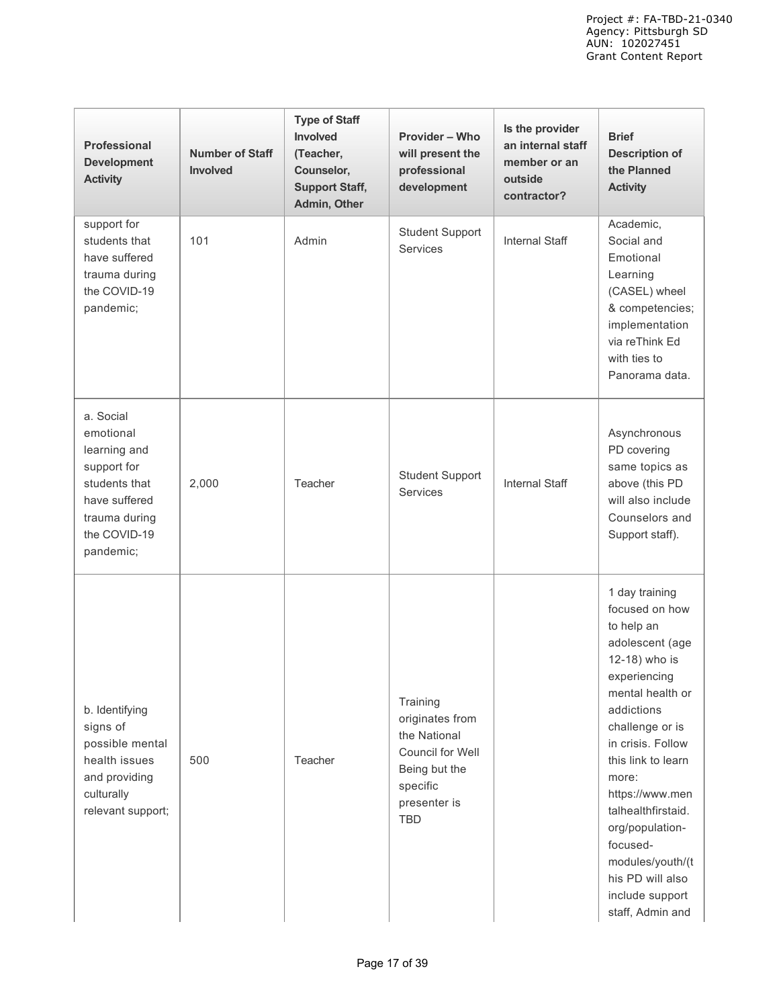| Professional<br><b>Development</b><br><b>Activity</b>                                                                                 | <b>Number of Staff</b><br><b>Involved</b> | <b>Type of Staff</b><br>Involved<br>(Teacher,<br>Counselor,<br><b>Support Staff,</b><br>Admin, Other | Provider - Who<br>will present the<br>professional<br>development                                                          | Is the provider<br>an internal staff<br>member or an<br>outside<br>contractor? | <b>Brief</b><br><b>Description of</b><br>the Planned<br><b>Activity</b>                                                                                                                                                                                                                                                                                            |
|---------------------------------------------------------------------------------------------------------------------------------------|-------------------------------------------|------------------------------------------------------------------------------------------------------|----------------------------------------------------------------------------------------------------------------------------|--------------------------------------------------------------------------------|--------------------------------------------------------------------------------------------------------------------------------------------------------------------------------------------------------------------------------------------------------------------------------------------------------------------------------------------------------------------|
| support for<br>students that<br>have suffered<br>trauma during<br>the COVID-19<br>pandemic;                                           | 101                                       | Admin                                                                                                | <b>Student Support</b><br><b>Services</b>                                                                                  | <b>Internal Staff</b>                                                          | Academic,<br>Social and<br>Emotional<br>Learning<br>(CASEL) wheel<br>& competencies;<br>implementation<br>via reThink Ed<br>with ties to<br>Panorama data.                                                                                                                                                                                                         |
| a. Social<br>emotional<br>learning and<br>support for<br>students that<br>have suffered<br>trauma during<br>the COVID-19<br>pandemic; | 2,000                                     | Teacher                                                                                              | <b>Student Support</b><br><b>Services</b>                                                                                  | Internal Staff                                                                 | Asynchronous<br>PD covering<br>same topics as<br>above (this PD<br>will also include<br>Counselors and<br>Support staff).                                                                                                                                                                                                                                          |
| b. Identifying<br>signs of<br>possible mental<br>health issues<br>and providing<br>culturally<br>relevant support;                    | 500                                       | Teacher                                                                                              | Training<br>originates from<br>the National<br>Council for Well<br>Being but the<br>specific<br>presenter is<br><b>TBD</b> |                                                                                | 1 day training<br>focused on how<br>to help an<br>adolescent (age<br>12-18) who is<br>experiencing<br>mental health or<br>addictions<br>challenge or is<br>in crisis. Follow<br>this link to learn<br>more:<br>https://www.men<br>talhealthfirstaid.<br>org/population-<br>focused-<br>modules/youth/(t<br>his PD will also<br>include support<br>staff, Admin and |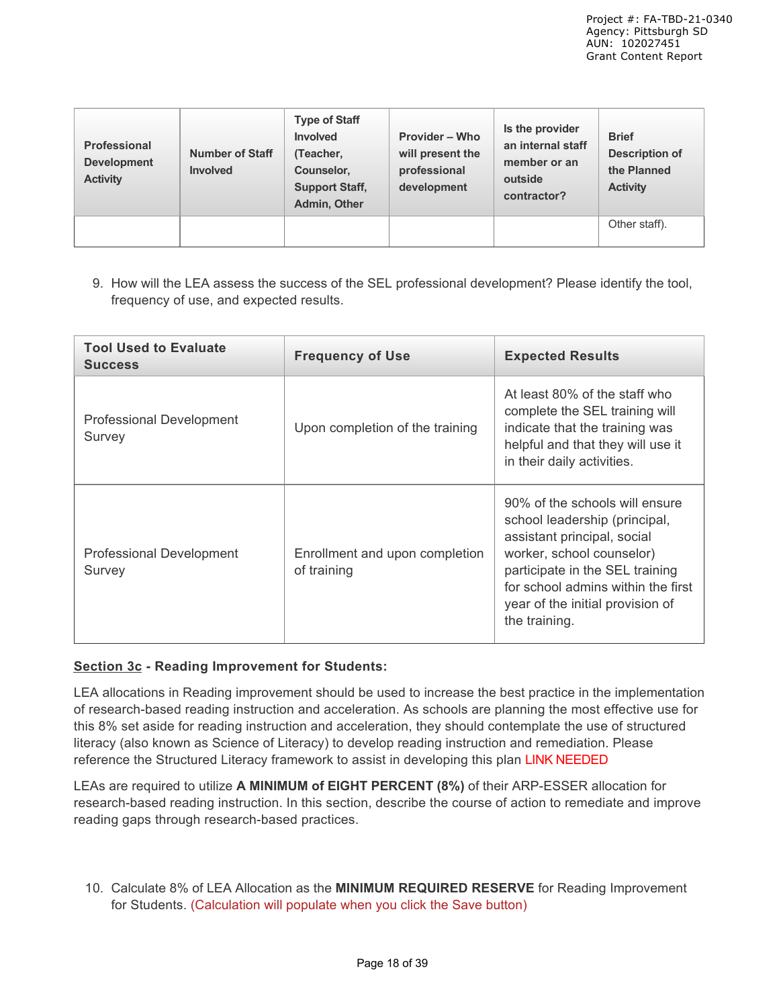| <b>Professional</b><br><b>Development</b><br><b>Activity</b> | <b>Number of Staff</b><br><b>Involved</b> | <b>Type of Staff</b><br><b>Involved</b><br>(Teacher,<br>Counselor,<br><b>Support Staff,</b><br>Admin, Other | <b>Provider – Who</b><br>will present the<br>professional<br>development | Is the provider<br>an internal staff<br>member or an<br>outside<br>contractor? | <b>Brief</b><br><b>Description of</b><br>the Planned<br><b>Activity</b> |
|--------------------------------------------------------------|-------------------------------------------|-------------------------------------------------------------------------------------------------------------|--------------------------------------------------------------------------|--------------------------------------------------------------------------------|-------------------------------------------------------------------------|
|                                                              |                                           |                                                                                                             |                                                                          |                                                                                | Other staff).                                                           |

9. How will the LEA assess the success of the SEL professional development? Please identify the tool, frequency of use, and expected results.

| <b>Tool Used to Evaluate</b><br><b>Success</b> | <b>Frequency of Use</b>                       | <b>Expected Results</b>                                                                                                                                                                                                                                   |
|------------------------------------------------|-----------------------------------------------|-----------------------------------------------------------------------------------------------------------------------------------------------------------------------------------------------------------------------------------------------------------|
| <b>Professional Development</b><br>Survey      | Upon completion of the training               | At least 80% of the staff who<br>complete the SEL training will<br>indicate that the training was<br>helpful and that they will use it<br>in their daily activities.                                                                                      |
| <b>Professional Development</b><br>Survey      | Enrollment and upon completion<br>of training | 90% of the schools will ensure<br>school leadership (principal,<br>assistant principal, social<br>worker, school counselor)<br>participate in the SEL training<br>for school admins within the first<br>year of the initial provision of<br>the training. |

### **Section 3c - Reading Improvement for Students:**

LEA allocations in Reading improvement should be used to increase the best practice in the implementation of research-based reading instruction and acceleration. As schools are planning the most effective use for this 8% set aside for reading instruction and acceleration, they should contemplate the use of structured literacy (also known as Science of Literacy) to develop reading instruction and remediation. Please reference the Structured Literacy framework to assist in developing this plan LINK NEEDED

LEAs are required to utilize **A MINIMUM of EIGHT PERCENT (8%)** of their ARP-ESSER allocation for research-based reading instruction. In this section, describe the course of action to remediate and improve reading gaps through research-based practices.

10. Calculate 8% of LEA Allocation as the **MINIMUM REQUIRED RESERVE** for Reading Improvement for Students. (Calculation will populate when you click the Save button)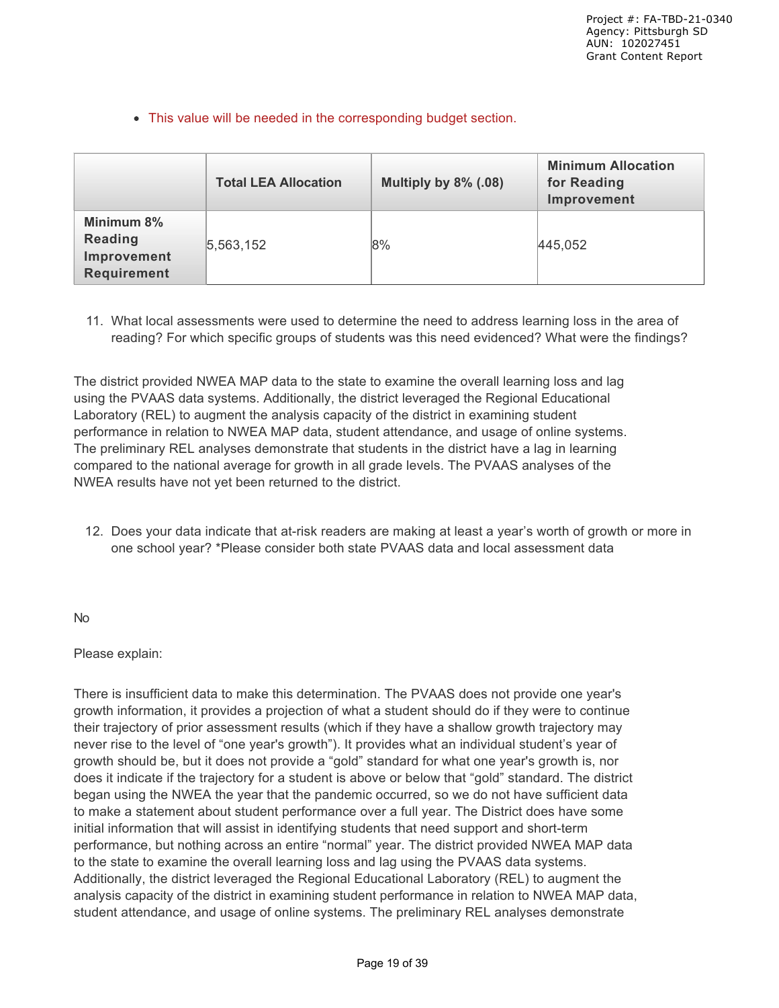This value will be needed in the corresponding budget section.

|                                                            | <b>Total LEA Allocation</b> | Multiply by 8% (.08) | <b>Minimum Allocation</b><br>for Reading<br>Improvement |
|------------------------------------------------------------|-----------------------------|----------------------|---------------------------------------------------------|
| Minimum 8%<br>Reading<br>Improvement<br><b>Requirement</b> | 5,563,152                   | 8%                   | 445,052                                                 |

11. What local assessments were used to determine the need to address learning loss in the area of reading? For which specific groups of students was this need evidenced? What were the findings?

The district provided NWEA MAP data to the state to examine the overall learning loss and lag using the PVAAS data systems. Additionally, the district leveraged the Regional Educational Laboratory (REL) to augment the analysis capacity of the district in examining student performance in relation to NWEA MAP data, student attendance, and usage of online systems. The preliminary REL analyses demonstrate that students in the district have a lag in learning compared to the national average for growth in all grade levels. The PVAAS analyses of the NWEA results have not yet been returned to the district.

12. Does your data indicate that at-risk readers are making at least a year's worth of growth or more in one school year? \*Please consider both state PVAAS data and local assessment data

No

Please explain:

There is insufficient data to make this determination. The PVAAS does not provide one year's growth information, it provides a projection of what a student should do if they were to continue their trajectory of prior assessment results (which if they have a shallow growth trajectory may never rise to the level of "one year's growth"). It provides what an individual student's year of growth should be, but it does not provide a "gold" standard for what one year's growth is, nor does it indicate if the trajectory for a student is above or below that "gold" standard. The district began using the NWEA the year that the pandemic occurred, so we do not have sufficient data to make a statement about student performance over a full year. The District does have some initial information that will assist in identifying students that need support and short-term performance, but nothing across an entire "normal" year. The district provided NWEA MAP data to the state to examine the overall learning loss and lag using the PVAAS data systems. Additionally, the district leveraged the Regional Educational Laboratory (REL) to augment the analysis capacity of the district in examining student performance in relation to NWEA MAP data, student attendance, and usage of online systems. The preliminary REL analyses demonstrate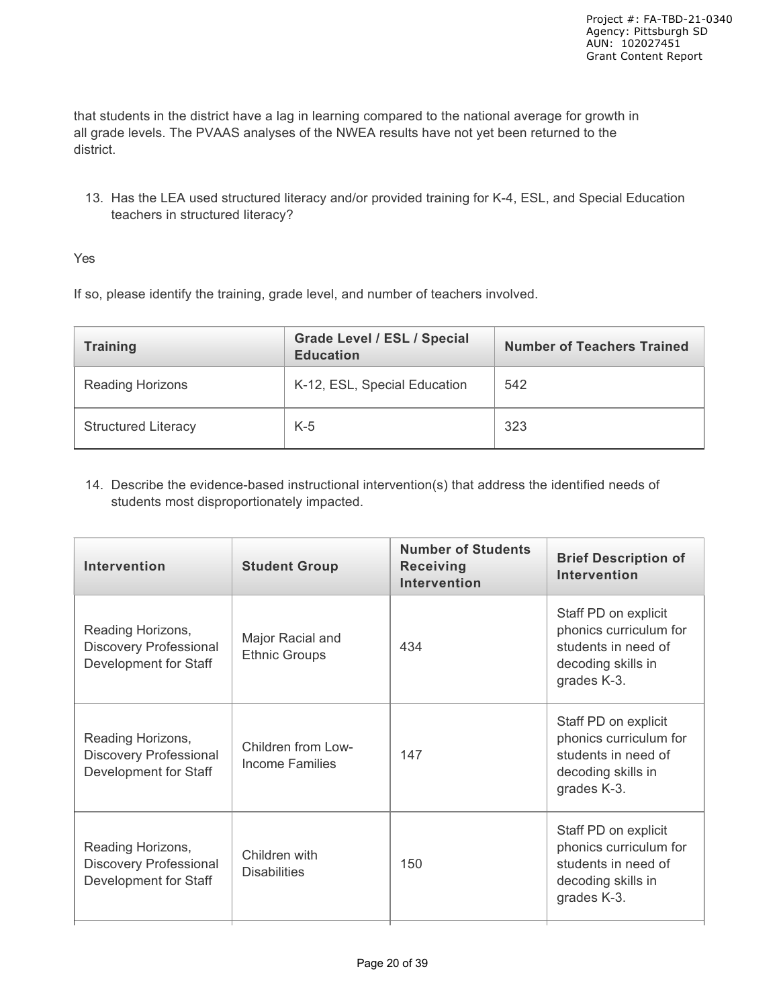that students in the district have a lag in learning compared to the national average for growth in all grade levels. The PVAAS analyses of the NWEA results have not yet been returned to the district.

13. Has the LEA used structured literacy and/or provided training for K-4, ESL, and Special Education teachers in structured literacy?

### Yes

If so, please identify the training, grade level, and number of teachers involved.

| <b>Training</b>            | <b>Grade Level / ESL / Special</b><br><b>Education</b> | <b>Number of Teachers Trained</b> |
|----------------------------|--------------------------------------------------------|-----------------------------------|
| <b>Reading Horizons</b>    | K-12, ESL, Special Education                           | 542                               |
| <b>Structured Literacy</b> | $K-5$                                                  | 323                               |

14. Describe the evidence-based instructional intervention(s) that address the identified needs of students most disproportionately impacted.

| Intervention                                                                | <b>Student Group</b>                     | <b>Number of Students</b><br><b>Receiving</b><br><b>Intervention</b> | <b>Brief Description of</b><br><b>Intervention</b>                                                         |
|-----------------------------------------------------------------------------|------------------------------------------|----------------------------------------------------------------------|------------------------------------------------------------------------------------------------------------|
| Reading Horizons,<br><b>Discovery Professional</b><br>Development for Staff | Major Racial and<br><b>Ethnic Groups</b> | 434                                                                  | Staff PD on explicit<br>phonics curriculum for<br>students in need of<br>decoding skills in<br>grades K-3. |
| Reading Horizons,<br><b>Discovery Professional</b><br>Development for Staff | Children from Low-<br>Income Families    | 147                                                                  | Staff PD on explicit<br>phonics curriculum for<br>students in need of<br>decoding skills in<br>grades K-3. |
| Reading Horizons,<br>Discovery Professional<br>Development for Staff        | Children with<br><b>Disabilities</b>     | 150                                                                  | Staff PD on explicit<br>phonics curriculum for<br>students in need of<br>decoding skills in<br>grades K-3. |
|                                                                             |                                          |                                                                      |                                                                                                            |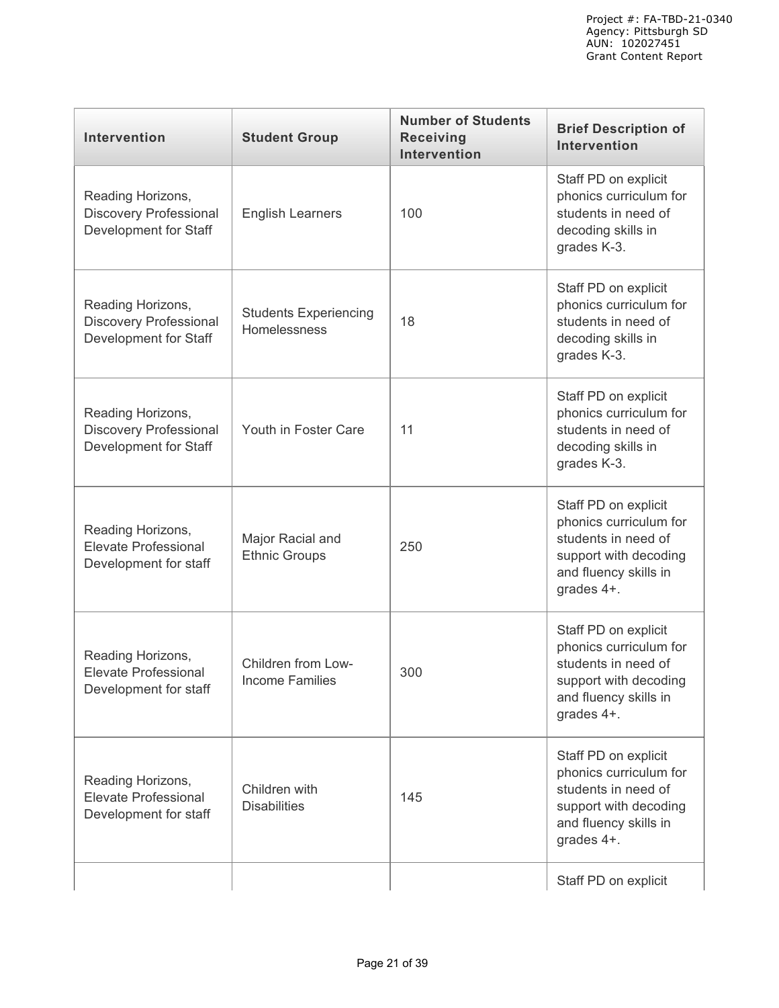| Intervention                                                                | <b>Student Group</b>                         | <b>Number of Students</b><br><b>Receiving</b><br><b>Intervention</b> | <b>Brief Description of</b><br>Intervention                                                                                           |
|-----------------------------------------------------------------------------|----------------------------------------------|----------------------------------------------------------------------|---------------------------------------------------------------------------------------------------------------------------------------|
| Reading Horizons,<br><b>Discovery Professional</b><br>Development for Staff | <b>English Learners</b>                      | 100                                                                  | Staff PD on explicit<br>phonics curriculum for<br>students in need of<br>decoding skills in<br>grades K-3.                            |
| Reading Horizons,<br><b>Discovery Professional</b><br>Development for Staff | <b>Students Experiencing</b><br>Homelessness | 18                                                                   | Staff PD on explicit<br>phonics curriculum for<br>students in need of<br>decoding skills in<br>grades K-3.                            |
| Reading Horizons,<br><b>Discovery Professional</b><br>Development for Staff | Youth in Foster Care                         | 11                                                                   | Staff PD on explicit<br>phonics curriculum for<br>students in need of<br>decoding skills in<br>grades K-3.                            |
| Reading Horizons,<br><b>Elevate Professional</b><br>Development for staff   | Major Racial and<br><b>Ethnic Groups</b>     | 250                                                                  | Staff PD on explicit<br>phonics curriculum for<br>students in need of<br>support with decoding<br>and fluency skills in<br>grades 4+. |
| Reading Horizons,<br><b>Elevate Professional</b><br>Development for staff   | Children from Low-<br><b>Income Families</b> | 300                                                                  | Staff PD on explicit<br>phonics curriculum for<br>students in need of<br>support with decoding<br>and fluency skills in<br>grades 4+. |
| Reading Horizons,<br><b>Elevate Professional</b><br>Development for staff   | Children with<br><b>Disabilities</b>         | 145                                                                  | Staff PD on explicit<br>phonics curriculum for<br>students in need of<br>support with decoding<br>and fluency skills in<br>grades 4+. |
|                                                                             |                                              |                                                                      | Staff PD on explicit                                                                                                                  |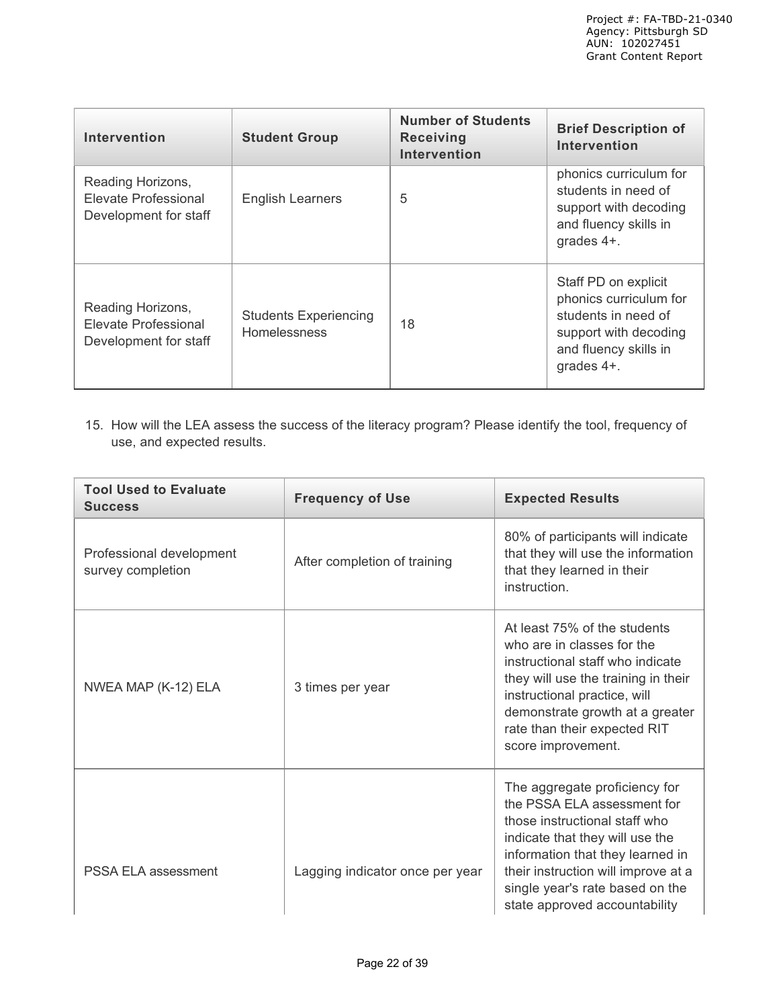| Intervention                                                       | <b>Student Group</b>                         | <b>Number of Students</b><br><b>Receiving</b><br><b>Intervention</b> | <b>Brief Description of</b><br>Intervention                                                                                           |
|--------------------------------------------------------------------|----------------------------------------------|----------------------------------------------------------------------|---------------------------------------------------------------------------------------------------------------------------------------|
| Reading Horizons,<br>Elevate Professional<br>Development for staff | <b>English Learners</b>                      | 5                                                                    | phonics curriculum for<br>students in need of<br>support with decoding<br>and fluency skills in<br>grades 4+.                         |
| Reading Horizons,<br>Elevate Professional<br>Development for staff | <b>Students Experiencing</b><br>Homelessness | 18                                                                   | Staff PD on explicit<br>phonics curriculum for<br>students in need of<br>support with decoding<br>and fluency skills in<br>grades 4+. |

15. How will the LEA assess the success of the literacy program? Please identify the tool, frequency of use, and expected results.

| <b>Tool Used to Evaluate</b><br><b>Success</b> | <b>Frequency of Use</b>         | <b>Expected Results</b>                                                                                                                                                                                                                                                         |
|------------------------------------------------|---------------------------------|---------------------------------------------------------------------------------------------------------------------------------------------------------------------------------------------------------------------------------------------------------------------------------|
| Professional development<br>survey completion  | After completion of training    | 80% of participants will indicate<br>that they will use the information<br>that they learned in their<br>instruction.                                                                                                                                                           |
| NWEA MAP (K-12) ELA                            | 3 times per year                | At least 75% of the students<br>who are in classes for the<br>instructional staff who indicate<br>they will use the training in their<br>instructional practice, will<br>demonstrate growth at a greater<br>rate than their expected RIT<br>score improvement.                  |
| PSSA ELA assessment                            | Lagging indicator once per year | The aggregate proficiency for<br>the PSSA ELA assessment for<br>those instructional staff who<br>indicate that they will use the<br>information that they learned in<br>their instruction will improve at a<br>single year's rate based on the<br>state approved accountability |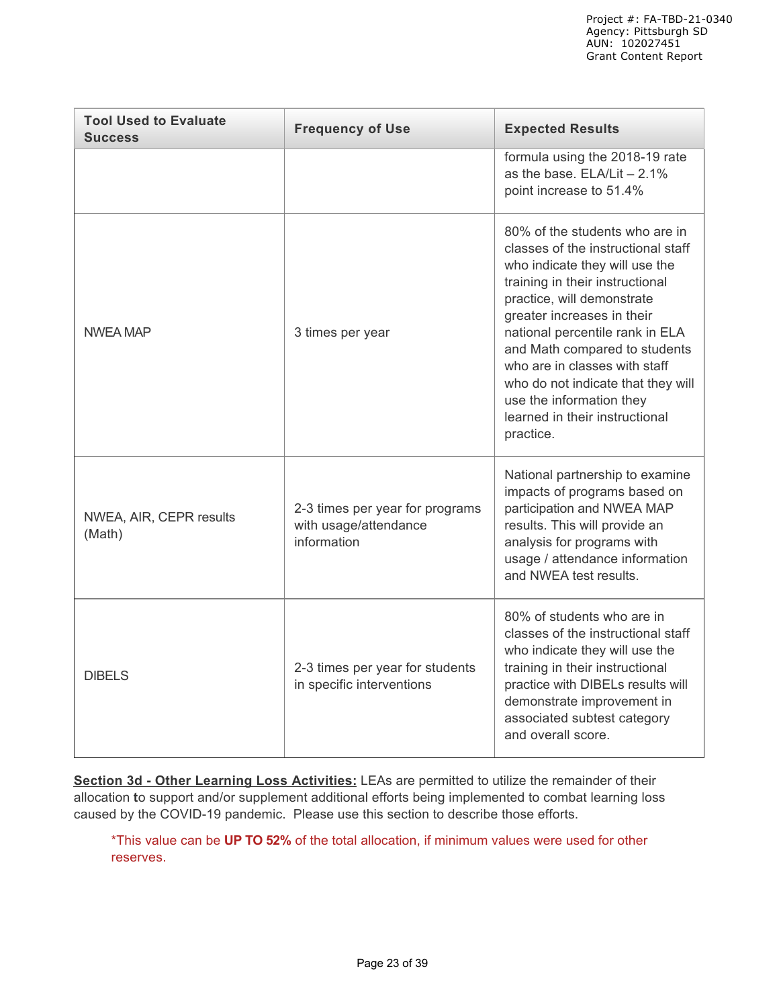| <b>Tool Used to Evaluate</b><br><b>Success</b> | <b>Frequency of Use</b>                                                 | <b>Expected Results</b>                                                                                                                                                                                                                                                                                                                                                                                                     |
|------------------------------------------------|-------------------------------------------------------------------------|-----------------------------------------------------------------------------------------------------------------------------------------------------------------------------------------------------------------------------------------------------------------------------------------------------------------------------------------------------------------------------------------------------------------------------|
|                                                |                                                                         | formula using the 2018-19 rate<br>as the base. $ELA/Lit - 2.1%$<br>point increase to 51.4%                                                                                                                                                                                                                                                                                                                                  |
| <b>NWEA MAP</b>                                | 3 times per year                                                        | 80% of the students who are in<br>classes of the instructional staff<br>who indicate they will use the<br>training in their instructional<br>practice, will demonstrate<br>greater increases in their<br>national percentile rank in ELA<br>and Math compared to students<br>who are in classes with staff<br>who do not indicate that they will<br>use the information they<br>learned in their instructional<br>practice. |
| NWEA, AIR, CEPR results<br>(Math)              | 2-3 times per year for programs<br>with usage/attendance<br>information | National partnership to examine<br>impacts of programs based on<br>participation and NWEA MAP<br>results. This will provide an<br>analysis for programs with<br>usage / attendance information<br>and NWEA test results.                                                                                                                                                                                                    |
| <b>DIBELS</b>                                  | 2-3 times per year for students<br>in specific interventions            | 80% of students who are in<br>classes of the instructional staff<br>who indicate they will use the<br>training in their instructional<br>practice with DIBELs results will<br>demonstrate improvement in<br>associated subtest category<br>and overall score.                                                                                                                                                               |

**Section 3d - Other Learning Loss Activities:** LEAs are permitted to utilize the remainder of their allocation **t**o support and/or supplement additional efforts being implemented to combat learning loss caused by the COVID-19 pandemic. Please use this section to describe those efforts.

\*This value can be **UP TO 52%** of the total allocation, if minimum values were used for other reserves.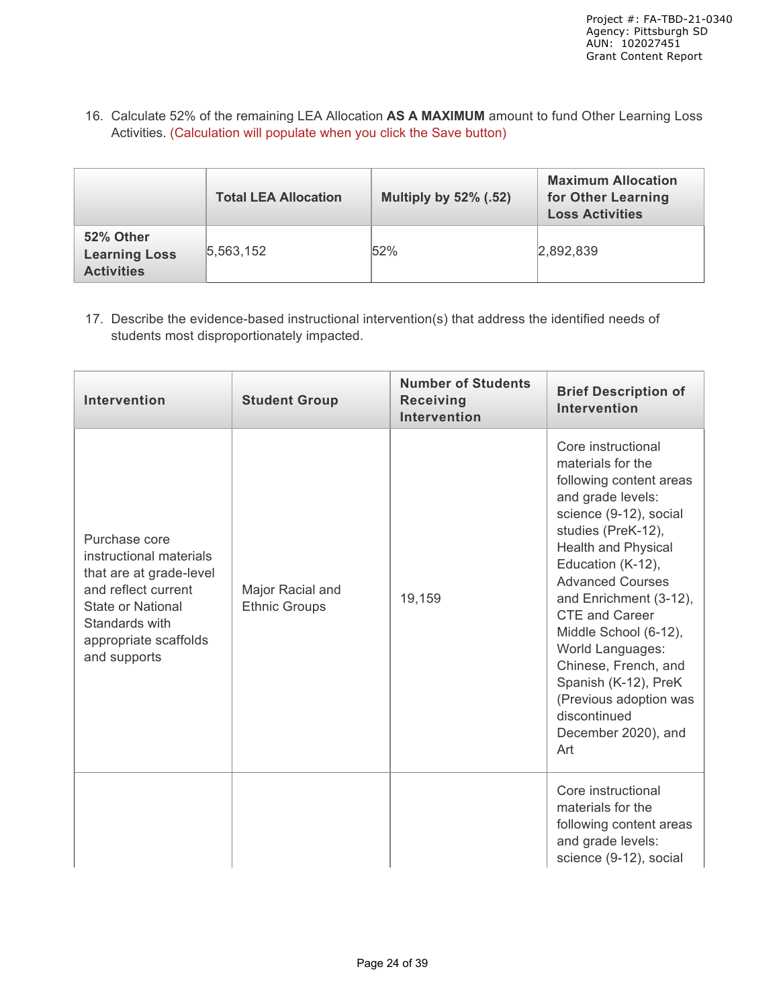16. Calculate 52% of the remaining LEA Allocation **AS A MAXIMUM** amount to fund Other Learning Loss Activities. (Calculation will populate when you click the Save button)

|                                                        | <b>Total LEA Allocation</b> | <b>Multiply by 52% (.52)</b> | <b>Maximum Allocation</b><br>for Other Learning<br><b>Loss Activities</b> |
|--------------------------------------------------------|-----------------------------|------------------------------|---------------------------------------------------------------------------|
| 52% Other<br><b>Learning Loss</b><br><b>Activities</b> | 5,563,152                   | 52%                          | 2,892,839                                                                 |

17. Describe the evidence-based instructional intervention(s) that address the identified needs of students most disproportionately impacted.

| <b>Intervention</b>                                                                                                                                                        | <b>Student Group</b>                     | <b>Number of Students</b><br><b>Receiving</b><br><b>Intervention</b> | <b>Brief Description of</b><br><b>Intervention</b>                                                                                                                                                                                                                                                                                                                                                                                            |
|----------------------------------------------------------------------------------------------------------------------------------------------------------------------------|------------------------------------------|----------------------------------------------------------------------|-----------------------------------------------------------------------------------------------------------------------------------------------------------------------------------------------------------------------------------------------------------------------------------------------------------------------------------------------------------------------------------------------------------------------------------------------|
| Purchase core<br>instructional materials<br>that are at grade-level<br>and reflect current<br>State or National<br>Standards with<br>appropriate scaffolds<br>and supports | Major Racial and<br><b>Ethnic Groups</b> | 19,159                                                               | Core instructional<br>materials for the<br>following content areas<br>and grade levels:<br>science (9-12), social<br>studies (PreK-12),<br><b>Health and Physical</b><br>Education (K-12),<br><b>Advanced Courses</b><br>and Enrichment (3-12),<br><b>CTE and Career</b><br>Middle School (6-12),<br>World Languages:<br>Chinese, French, and<br>Spanish (K-12), PreK<br>(Previous adoption was<br>discontinued<br>December 2020), and<br>Art |
|                                                                                                                                                                            |                                          |                                                                      | Core instructional<br>materials for the<br>following content areas<br>and grade levels:<br>science (9-12), social                                                                                                                                                                                                                                                                                                                             |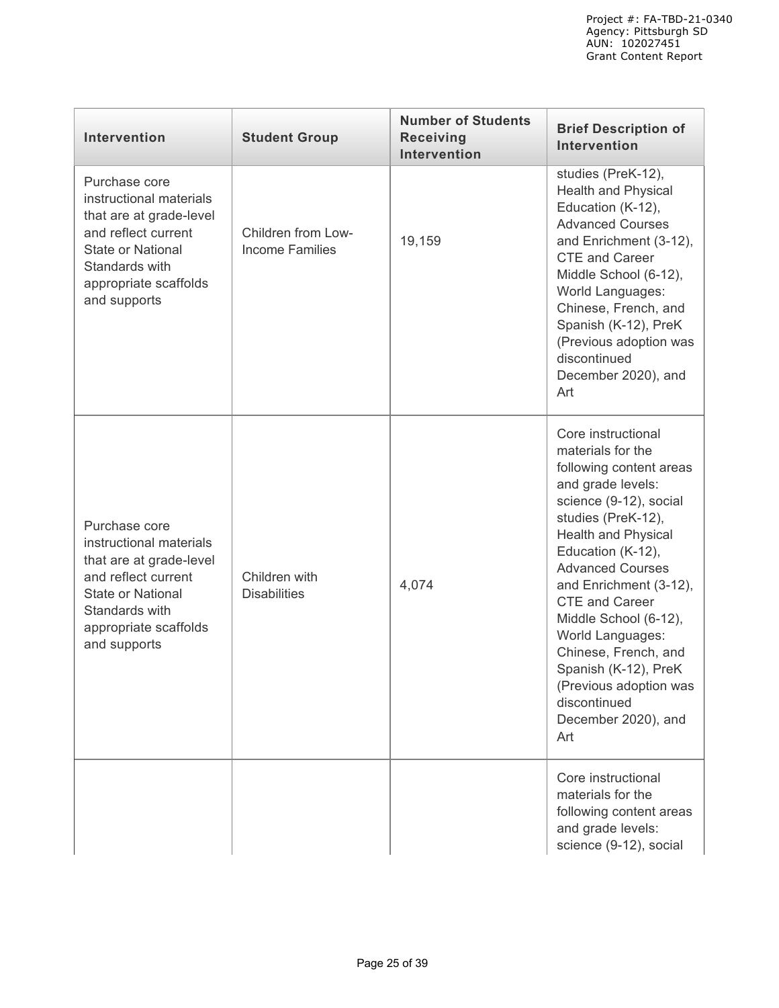| Intervention                                                                                                                                                                      | <b>Student Group</b>                         | <b>Number of Students</b><br><b>Receiving</b><br><b>Intervention</b> | <b>Brief Description of</b><br><b>Intervention</b>                                                                                                                                                                                                                                                                                                                                                                                     |
|-----------------------------------------------------------------------------------------------------------------------------------------------------------------------------------|----------------------------------------------|----------------------------------------------------------------------|----------------------------------------------------------------------------------------------------------------------------------------------------------------------------------------------------------------------------------------------------------------------------------------------------------------------------------------------------------------------------------------------------------------------------------------|
| Purchase core<br>instructional materials<br>that are at grade-level<br>and reflect current<br><b>State or National</b><br>Standards with<br>appropriate scaffolds<br>and supports | Children from Low-<br><b>Income Families</b> | 19,159                                                               | studies (PreK-12),<br>Health and Physical<br>Education (K-12),<br><b>Advanced Courses</b><br>and Enrichment (3-12),<br><b>CTE</b> and Career<br>Middle School (6-12),<br>World Languages:<br>Chinese, French, and<br>Spanish (K-12), PreK<br>(Previous adoption was<br>discontinued<br>December 2020), and<br>Art                                                                                                                      |
| Purchase core<br>instructional materials<br>that are at grade-level<br>and reflect current<br><b>State or National</b><br>Standards with<br>appropriate scaffolds<br>and supports | Children with<br><b>Disabilities</b>         | 4,074                                                                | Core instructional<br>materials for the<br>following content areas<br>and grade levels:<br>science (9-12), social<br>studies (PreK-12),<br>Health and Physical<br>Education (K-12),<br><b>Advanced Courses</b><br>and Enrichment (3-12),<br><b>CTE and Career</b><br>Middle School (6-12),<br>World Languages:<br>Chinese, French, and<br>Spanish (K-12), PreK<br>(Previous adoption was<br>discontinued<br>December 2020), and<br>Art |
|                                                                                                                                                                                   |                                              |                                                                      | Core instructional<br>materials for the<br>following content areas<br>and grade levels:<br>science (9-12), social                                                                                                                                                                                                                                                                                                                      |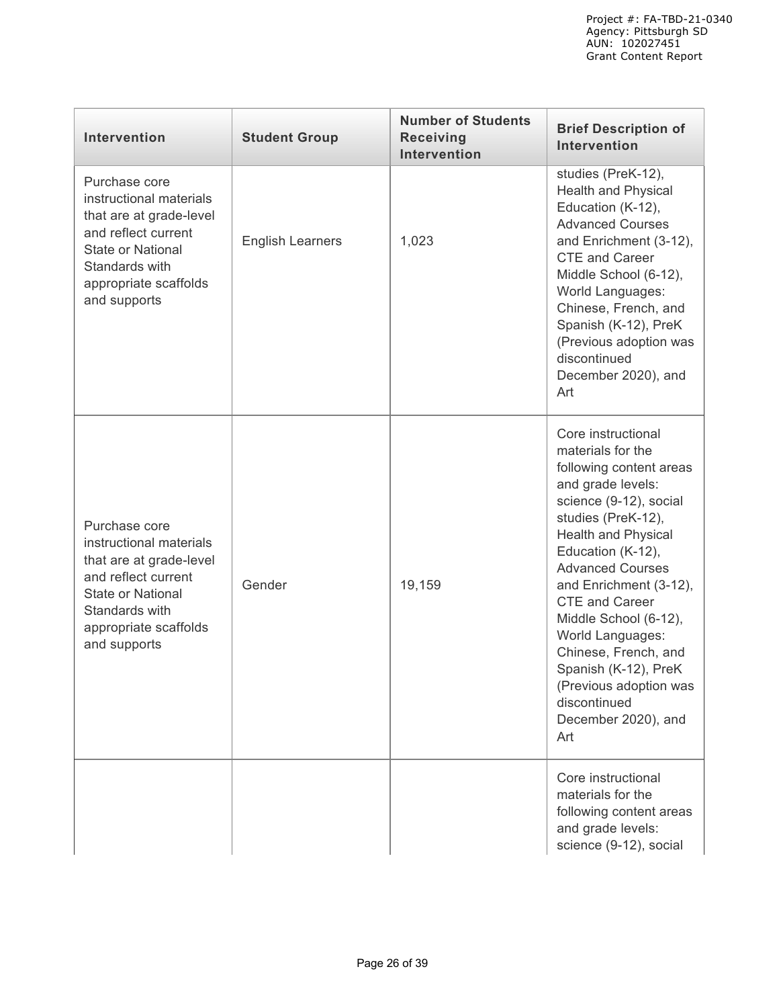| Intervention                                                                                                                                                                      | <b>Student Group</b>    | <b>Number of Students</b><br><b>Receiving</b><br><b>Intervention</b> | <b>Brief Description of</b><br><b>Intervention</b>                                                                                                                                                                                                                                                                                                                                                                                     |
|-----------------------------------------------------------------------------------------------------------------------------------------------------------------------------------|-------------------------|----------------------------------------------------------------------|----------------------------------------------------------------------------------------------------------------------------------------------------------------------------------------------------------------------------------------------------------------------------------------------------------------------------------------------------------------------------------------------------------------------------------------|
| Purchase core<br>instructional materials<br>that are at grade-level<br>and reflect current<br><b>State or National</b><br>Standards with<br>appropriate scaffolds<br>and supports | <b>English Learners</b> | 1,023                                                                | studies (PreK-12),<br>Health and Physical<br>Education (K-12),<br><b>Advanced Courses</b><br>and Enrichment (3-12),<br><b>CTE and Career</b><br>Middle School (6-12),<br>World Languages:<br>Chinese, French, and<br>Spanish (K-12), PreK<br>(Previous adoption was<br>discontinued<br>December 2020), and<br>Art                                                                                                                      |
| Purchase core<br>instructional materials<br>that are at grade-level<br>and reflect current<br><b>State or National</b><br>Standards with<br>appropriate scaffolds<br>and supports | Gender                  | 19,159                                                               | Core instructional<br>materials for the<br>following content areas<br>and grade levels:<br>science (9-12), social<br>studies (PreK-12),<br>Health and Physical<br>Education (K-12),<br><b>Advanced Courses</b><br>and Enrichment (3-12),<br><b>CTE</b> and Career<br>Middle School (6-12),<br>World Languages:<br>Chinese, French, and<br>Spanish (K-12), PreK<br>(Previous adoption was<br>discontinued<br>December 2020), and<br>Art |
|                                                                                                                                                                                   |                         |                                                                      | Core instructional<br>materials for the<br>following content areas<br>and grade levels:<br>science (9-12), social                                                                                                                                                                                                                                                                                                                      |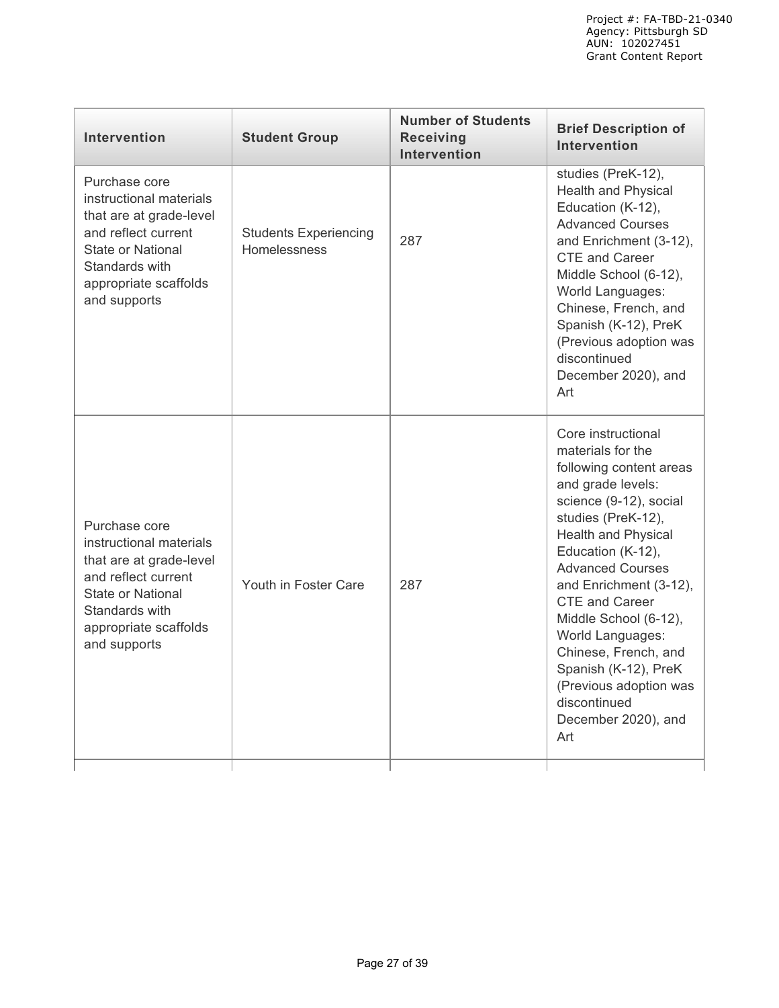| <b>Intervention</b>                                                                                                                                                               | <b>Student Group</b>                                | <b>Number of Students</b><br><b>Receiving</b><br>Intervention | <b>Brief Description of</b><br><b>Intervention</b>                                                                                                                                                                                                                                                                                                                                                                                     |
|-----------------------------------------------------------------------------------------------------------------------------------------------------------------------------------|-----------------------------------------------------|---------------------------------------------------------------|----------------------------------------------------------------------------------------------------------------------------------------------------------------------------------------------------------------------------------------------------------------------------------------------------------------------------------------------------------------------------------------------------------------------------------------|
| Purchase core<br>instructional materials<br>that are at grade-level<br>and reflect current<br><b>State or National</b><br>Standards with<br>appropriate scaffolds<br>and supports | <b>Students Experiencing</b><br><b>Homelessness</b> | 287                                                           | studies (PreK-12),<br><b>Health and Physical</b><br>Education (K-12),<br><b>Advanced Courses</b><br>and Enrichment (3-12),<br><b>CTE</b> and Career<br>Middle School (6-12),<br>World Languages:<br>Chinese, French, and<br>Spanish (K-12), PreK<br>(Previous adoption was<br>discontinued<br>December 2020), and<br>Art                                                                                                               |
| Purchase core<br>instructional materials<br>that are at grade-level<br>and reflect current<br>State or National<br>Standards with<br>appropriate scaffolds<br>and supports        | Youth in Foster Care                                | 287                                                           | Core instructional<br>materials for the<br>following content areas<br>and grade levels:<br>science (9-12), social<br>studies (PreK-12),<br>Health and Physical<br>Education (K-12),<br><b>Advanced Courses</b><br>and Enrichment (3-12),<br><b>CTE</b> and Career<br>Middle School (6-12),<br>World Languages:<br>Chinese, French, and<br>Spanish (K-12), PreK<br>(Previous adoption was<br>discontinued<br>December 2020), and<br>Art |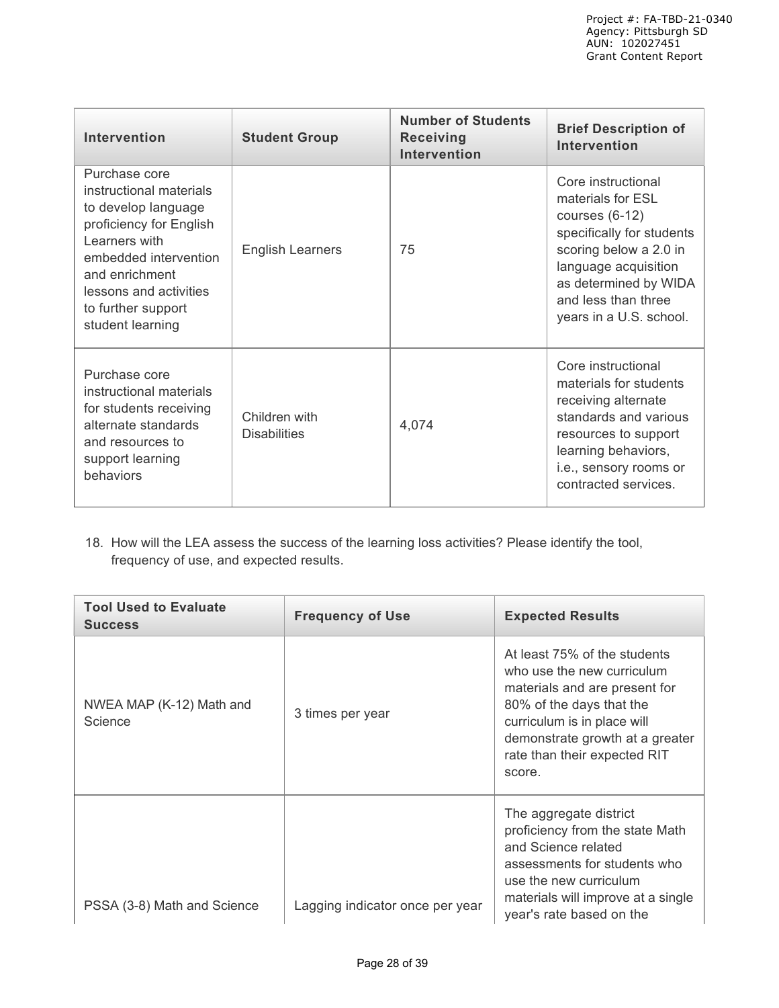| <b>Intervention</b>                                                                                                                                                                                                        | <b>Student Group</b>                 | <b>Number of Students</b><br><b>Receiving</b><br><b>Intervention</b> | <b>Brief Description of</b><br><b>Intervention</b>                                                                                                                                                                    |
|----------------------------------------------------------------------------------------------------------------------------------------------------------------------------------------------------------------------------|--------------------------------------|----------------------------------------------------------------------|-----------------------------------------------------------------------------------------------------------------------------------------------------------------------------------------------------------------------|
| Purchase core<br>instructional materials<br>to develop language<br>proficiency for English<br>Learners with<br>embedded intervention<br>and enrichment<br>lessons and activities<br>to further support<br>student learning | <b>English Learners</b>              | 75                                                                   | Core instructional<br>materials for ESL<br>courses $(6-12)$<br>specifically for students<br>scoring below a 2.0 in<br>language acquisition<br>as determined by WIDA<br>and less than three<br>years in a U.S. school. |
| Purchase core<br>instructional materials<br>for students receiving<br>alternate standards<br>and resources to<br>support learning<br>behaviors                                                                             | Children with<br><b>Disabilities</b> | 4,074                                                                | Core instructional<br>materials for students<br>receiving alternate<br>standards and various<br>resources to support<br>learning behaviors,<br>i.e., sensory rooms or<br>contracted services.                         |

18. How will the LEA assess the success of the learning loss activities? Please identify the tool, frequency of use, and expected results.

| <b>Tool Used to Evaluate</b><br><b>Success</b> | <b>Frequency of Use</b>         | <b>Expected Results</b>                                                                                                                                                                                                             |
|------------------------------------------------|---------------------------------|-------------------------------------------------------------------------------------------------------------------------------------------------------------------------------------------------------------------------------------|
| NWEA MAP (K-12) Math and<br>Science            | 3 times per year                | At least 75% of the students<br>who use the new curriculum<br>materials and are present for<br>80% of the days that the<br>curriculum is in place will<br>demonstrate growth at a greater<br>rate than their expected RIT<br>score. |
| PSSA (3-8) Math and Science                    | Lagging indicator once per year | The aggregate district<br>proficiency from the state Math<br>and Science related<br>assessments for students who<br>use the new curriculum<br>materials will improve at a single<br>year's rate based on the                        |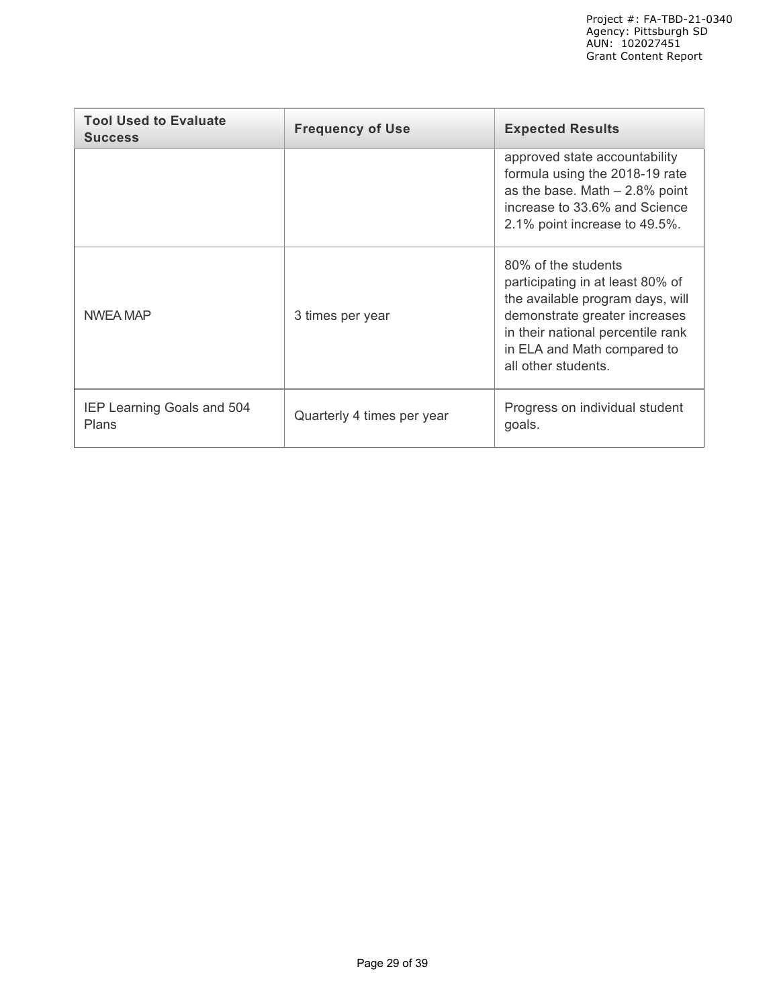| <b>Tool Used to Evaluate</b><br><b>Success</b> | <b>Frequency of Use</b>    | <b>Expected Results</b>                                                                                                                                                                                                 |
|------------------------------------------------|----------------------------|-------------------------------------------------------------------------------------------------------------------------------------------------------------------------------------------------------------------------|
|                                                |                            | approved state accountability<br>formula using the 2018-19 rate<br>as the base. Math $-2.8\%$ point<br>increase to 33.6% and Science<br>2.1% point increase to 49.5%.                                                   |
| NWEA MAP                                       | 3 times per year           | 80% of the students<br>participating in at least 80% of<br>the available program days, will<br>demonstrate greater increases<br>in their national percentile rank<br>in ELA and Math compared to<br>all other students. |
| IEP Learning Goals and 504<br><b>Plans</b>     | Quarterly 4 times per year | Progress on individual student<br>goals.                                                                                                                                                                                |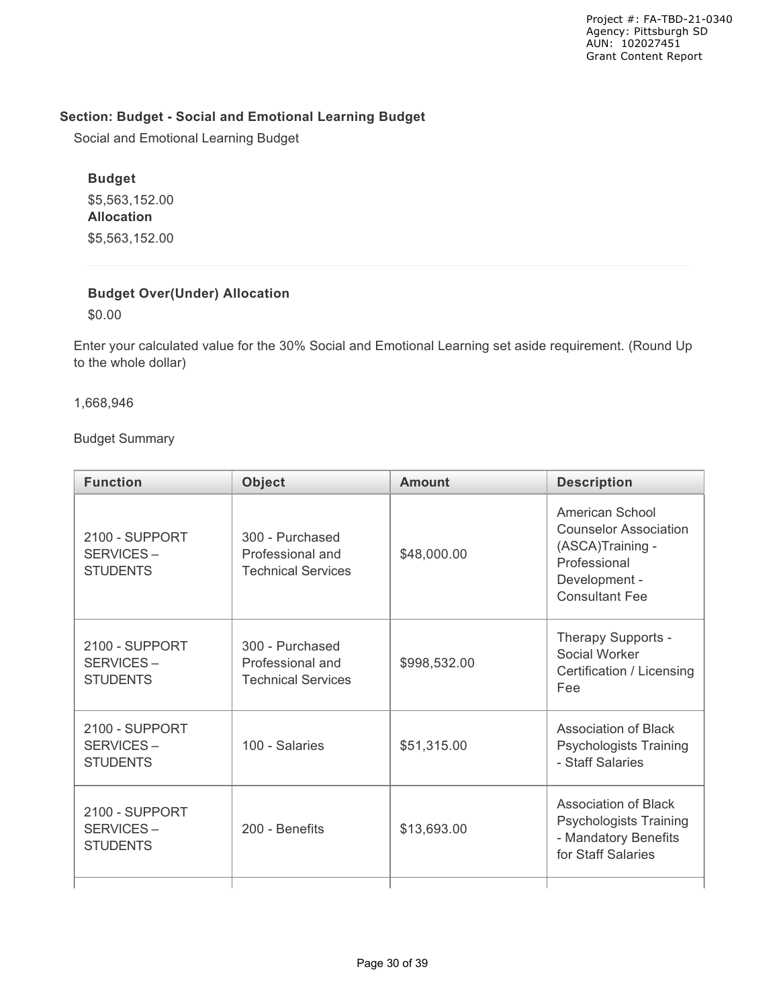## **Section: Budget - Social and Emotional Learning Budget**

Social and Emotional Learning Budget

# **Budget**

\$5,563,152.00 **Allocation** \$5,563,152.00

## **Budget Over(Under) Allocation**

\$0.00

Enter your calculated value for the 30% Social and Emotional Learning set aside requirement. (Round Up to the whole dollar)

1,668,946

Budget Summary

| <b>Function</b>                                                  | <b>Object</b>                                                    | <b>Amount</b> | <b>Description</b>                                                                                                            |
|------------------------------------------------------------------|------------------------------------------------------------------|---------------|-------------------------------------------------------------------------------------------------------------------------------|
| 2100 - SUPPORT<br>SERVICES-<br><b>STUDENTS</b>                   | 300 - Purchased<br>Professional and<br><b>Technical Services</b> | \$48,000.00   | American School<br><b>Counselor Association</b><br>(ASCA)Training -<br>Professional<br>Development -<br><b>Consultant Fee</b> |
| 2100 - SUPPORT<br>SERVICES-<br><b>STUDENTS</b>                   | 300 - Purchased<br>Professional and<br><b>Technical Services</b> | \$998,532.00  | Therapy Supports -<br>Social Worker<br>Certification / Licensing<br>Fee                                                       |
| 2100 - SUPPORT<br>SERVICES-<br><b>STUDENTS</b>                   | 100 - Salaries                                                   | \$51,315.00   | <b>Association of Black</b><br><b>Psychologists Training</b><br>- Staff Salaries                                              |
| 2100 - SUPPORT<br>SERVICES-<br>200 - Benefits<br><b>STUDENTS</b> |                                                                  | \$13,693.00   | Association of Black<br><b>Psychologists Training</b><br>- Mandatory Benefits<br>for Staff Salaries                           |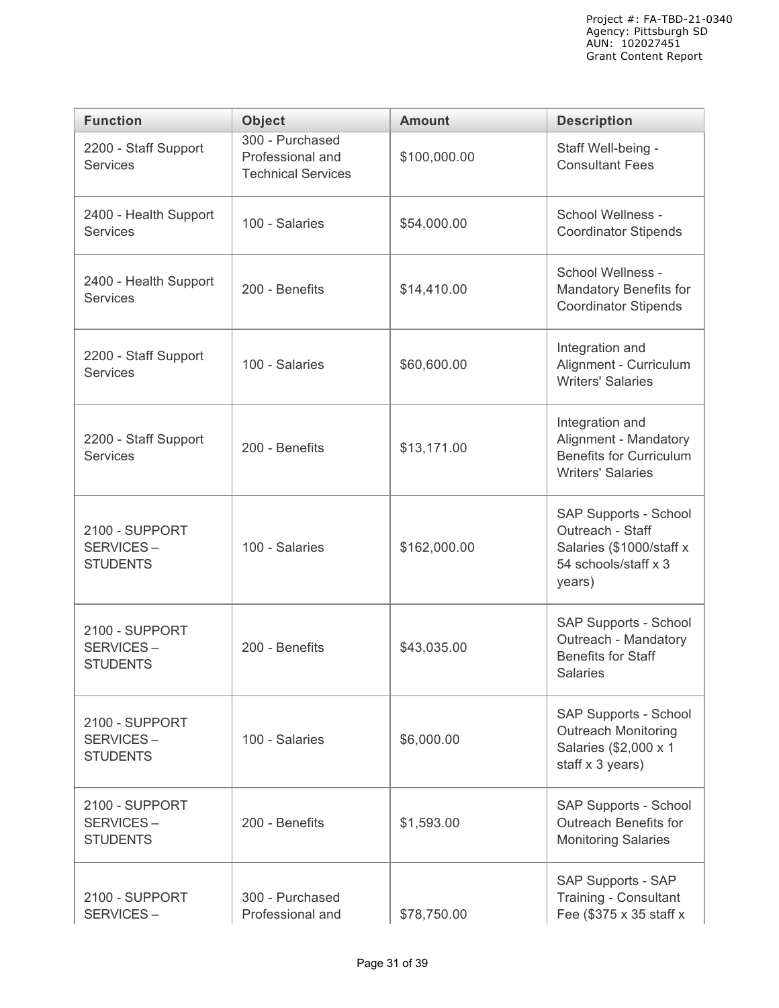| <b>Function</b>                                | <b>Object</b>                                                    | <b>Amount</b> | <b>Description</b>                                                                                      |  |
|------------------------------------------------|------------------------------------------------------------------|---------------|---------------------------------------------------------------------------------------------------------|--|
| 2200 - Staff Support<br><b>Services</b>        | 300 - Purchased<br>Professional and<br><b>Technical Services</b> | \$100,000.00  | Staff Well-being -<br><b>Consultant Fees</b>                                                            |  |
| 2400 - Health Support<br><b>Services</b>       | 100 - Salaries                                                   | \$54,000.00   | School Wellness -<br><b>Coordinator Stipends</b>                                                        |  |
| 2400 - Health Support<br><b>Services</b>       | 200 - Benefits                                                   | \$14,410.00   | School Wellness -<br>Mandatory Benefits for<br><b>Coordinator Stipends</b>                              |  |
| 2200 - Staff Support<br><b>Services</b>        | 100 - Salaries                                                   | \$60,600.00   | Integration and<br>Alignment - Curriculum<br><b>Writers' Salaries</b>                                   |  |
| 2200 - Staff Support<br><b>Services</b>        | 200 - Benefits                                                   | \$13,171.00   | Integration and<br>Alignment - Mandatory<br><b>Benefits for Curriculum</b><br><b>Writers' Salaries</b>  |  |
| 2100 - SUPPORT<br>SERVICES-<br><b>STUDENTS</b> | 100 - Salaries                                                   | \$162,000.00  | SAP Supports - School<br>Outreach - Staff<br>Salaries (\$1000/staff x<br>54 schools/staff x 3<br>years) |  |
| 2100 - SUPPORT<br>SERVICES-<br><b>STUDENTS</b> | 200 - Benefits                                                   |               | SAP Supports - School<br>Outreach - Mandatory<br><b>Benefits for Staff</b><br><b>Salaries</b>           |  |
| 2100 - SUPPORT<br>SERVICES-<br><b>STUDENTS</b> | 100 - Salaries                                                   |               | SAP Supports - School<br><b>Outreach Monitoring</b><br>Salaries (\$2,000 x 1<br>staff x 3 years)        |  |
| 2100 - SUPPORT<br>SERVICES-<br><b>STUDENTS</b> | 200 - Benefits                                                   | \$1,593.00    | SAP Supports - School<br>Outreach Benefits for<br><b>Monitoring Salaries</b>                            |  |
| 2100 - SUPPORT<br>SERVICES-                    | 300 - Purchased<br>Professional and                              | \$78,750.00   | SAP Supports - SAP<br>Training - Consultant<br>Fee (\$375 x 35 staff x                                  |  |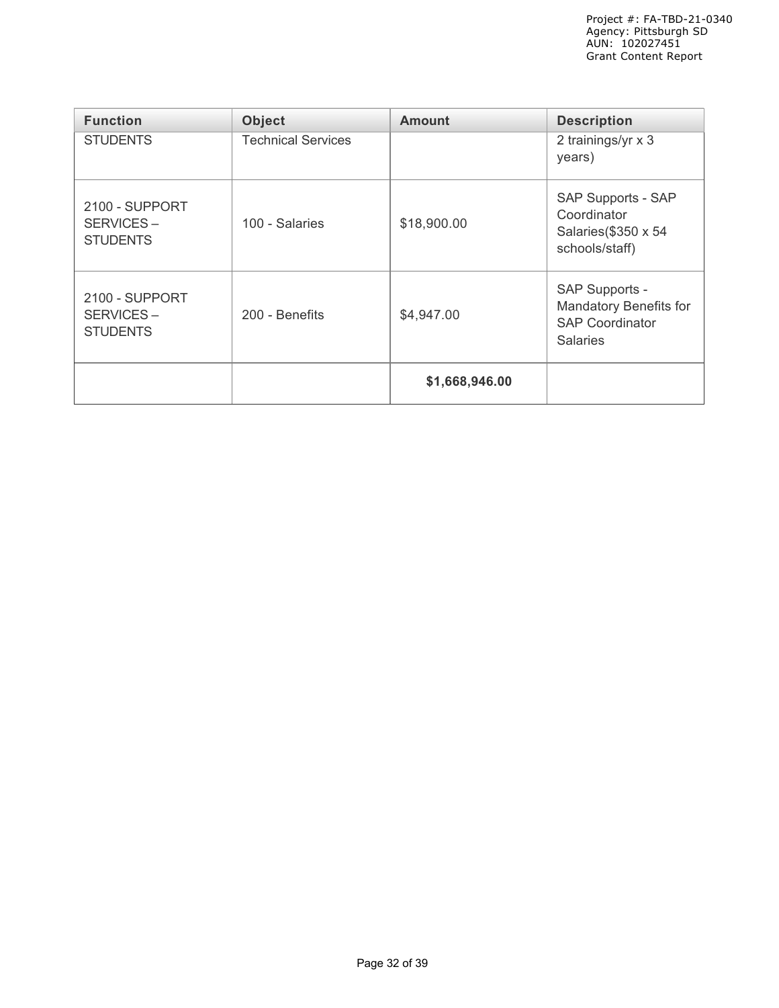| <b>Function</b>                                | <b>Object</b>             | <b>Amount</b>  | <b>Description</b>                                                                           |
|------------------------------------------------|---------------------------|----------------|----------------------------------------------------------------------------------------------|
| <b>STUDENTS</b>                                | <b>Technical Services</b> |                | 2 trainings/yr x 3<br>years)                                                                 |
| 2100 - SUPPORT<br>SERVICES-<br><b>STUDENTS</b> | 100 - Salaries            | \$18,900.00    | SAP Supports - SAP<br>Coordinator<br>Salaries(\$350 x 54<br>schools/staff)                   |
| 2100 - SUPPORT<br>SERVICES-<br><b>STUDENTS</b> | 200 - Benefits            | \$4,947.00     | SAP Supports -<br><b>Mandatory Benefits for</b><br><b>SAP Coordinator</b><br><b>Salaries</b> |
|                                                |                           | \$1,668,946.00 |                                                                                              |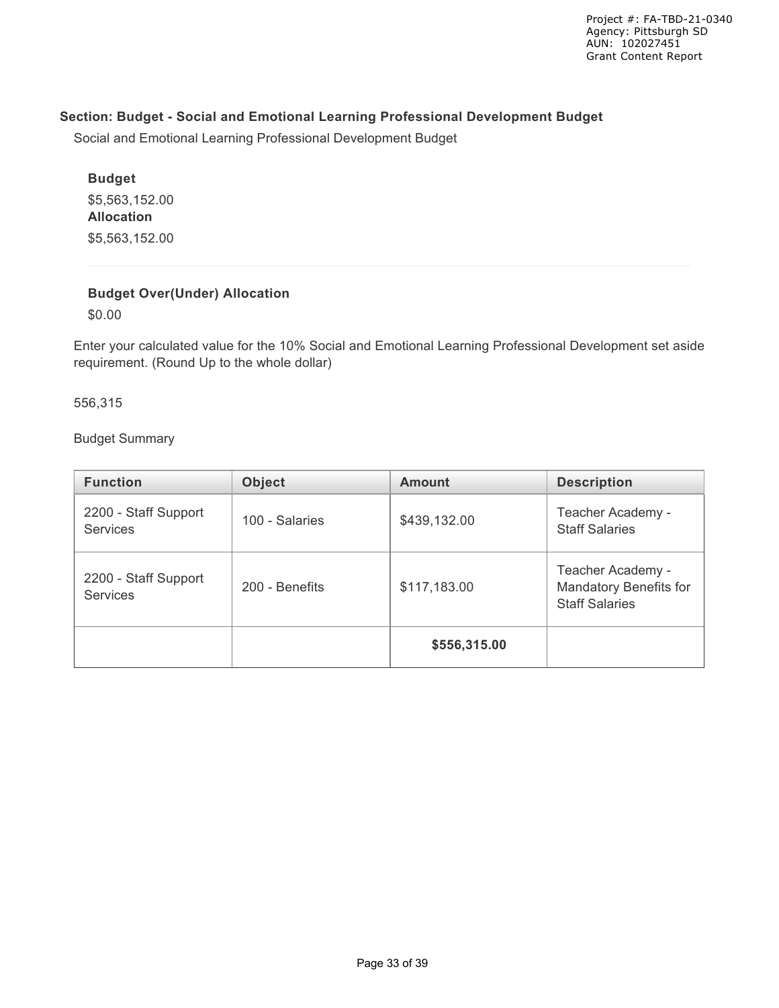## **Section: Budget - Social and Emotional Learning Professional Development Budget**

Social and Emotional Learning Professional Development Budget

# **Budget** \$5,563,152.00 **Allocation** \$5,563,152.00

## **Budget Over(Under) Allocation**

\$0.00

Enter your calculated value for the 10% Social and Emotional Learning Professional Development set aside requirement. (Round Up to the whole dollar)

556,315

Budget Summary

| <b>Function</b>                         | <b>Object</b>  | <b>Amount</b> | <b>Description</b>                                                   |  |
|-----------------------------------------|----------------|---------------|----------------------------------------------------------------------|--|
| 2200 - Staff Support<br><b>Services</b> | 100 - Salaries | \$439,132.00  | Teacher Academy -<br><b>Staff Salaries</b>                           |  |
| 2200 - Staff Support<br><b>Services</b> | 200 - Benefits | \$117,183.00  | Teacher Academy -<br>Mandatory Benefits for<br><b>Staff Salaries</b> |  |
|                                         |                | \$556,315.00  |                                                                      |  |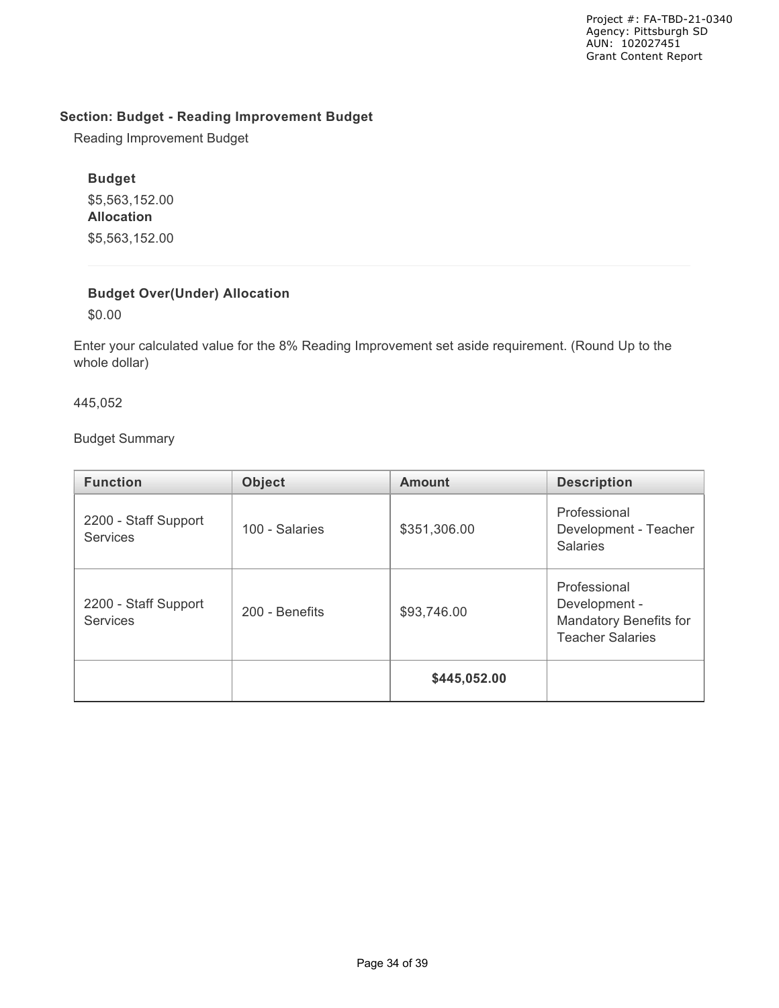### **Section: Budget - Reading Improvement Budget**

Reading Improvement Budget

## **Budget**

\$5,563,152.00 **Allocation** \$5,563,152.00

# **Budget Over(Under) Allocation**

\$0.00

Enter your calculated value for the 8% Reading Improvement set aside requirement. (Round Up to the whole dollar)

445,052

Budget Summary

| <b>Function</b>                         | <b>Object</b>  | <b>Amount</b> | <b>Description</b>                                                                 |
|-----------------------------------------|----------------|---------------|------------------------------------------------------------------------------------|
| 2200 - Staff Support<br><b>Services</b> | 100 - Salaries | \$351,306.00  | Professional<br>Development - Teacher<br><b>Salaries</b>                           |
| 2200 - Staff Support<br><b>Services</b> | 200 - Benefits |               | Professional<br>Development -<br>Mandatory Benefits for<br><b>Teacher Salaries</b> |
|                                         |                | \$445,052.00  |                                                                                    |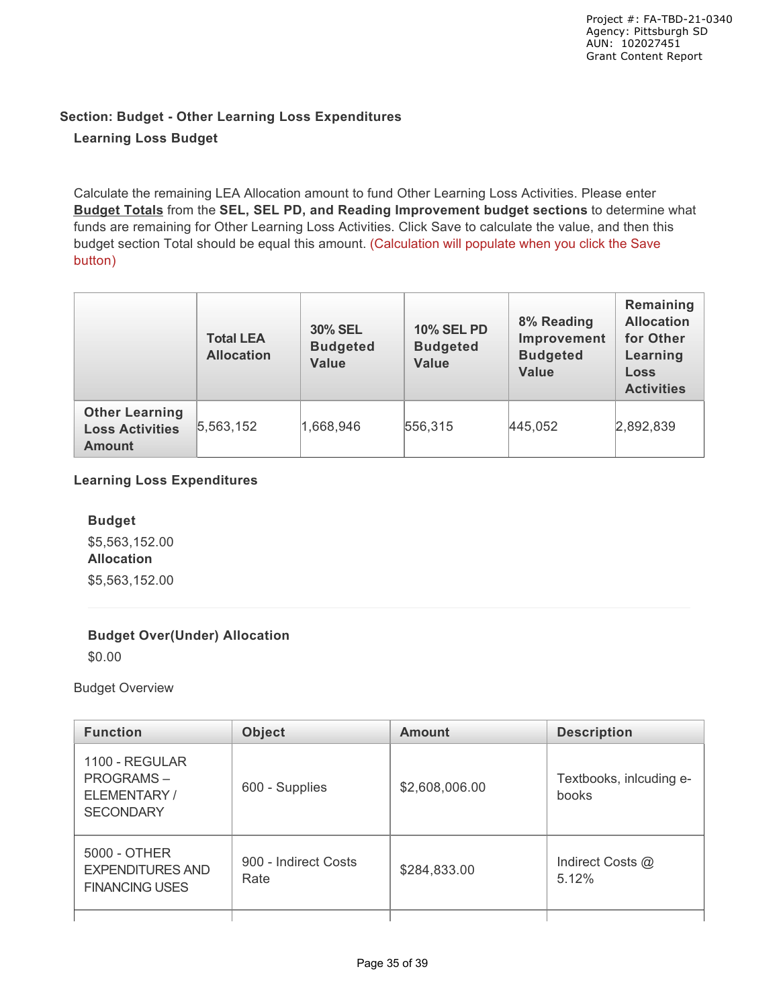# **Section: Budget - Other Learning Loss Expenditures Learning Loss Budget**

Calculate the remaining LEA Allocation amount to fund Other Learning Loss Activities. Please enter **Budget Totals** from the **SEL, SEL PD, and Reading Improvement budget sections** to determine what funds are remaining for Other Learning Loss Activities. Click Save to calculate the value, and then this budget section Total should be equal this amount. (Calculation will populate when you click the Save button)

|                                                                  | <b>Total LEA</b><br><b>Allocation</b> | <b>30% SEL</b><br><b>Budgeted</b><br><b>Value</b> | <b>10% SEL PD</b><br><b>Budgeted</b><br><b>Value</b> | 8% Reading<br>Improvement<br><b>Budgeted</b><br><b>Value</b> | Remaining<br><b>Allocation</b><br>for Other<br>Learning<br><b>Loss</b><br><b>Activities</b> |
|------------------------------------------------------------------|---------------------------------------|---------------------------------------------------|------------------------------------------------------|--------------------------------------------------------------|---------------------------------------------------------------------------------------------|
| <b>Other Learning</b><br><b>Loss Activities</b><br><b>Amount</b> | 5,563,152                             | 1,668,946                                         | 556,315                                              | 445,052                                                      | 2,892,839                                                                                   |

## **Learning Loss Expenditures**

**Budget** \$5,563,152.00 **Allocation** \$5,563,152.00

## **Budget Over(Under) Allocation**

\$0.00

## Budget Overview

| <b>Object</b><br><b>Function</b>                                       |                              | <b>Amount</b>  | <b>Description</b>               |  |
|------------------------------------------------------------------------|------------------------------|----------------|----------------------------------|--|
| <b>1100 - REGULAR</b><br>PROGRAMS-<br>ELEMENTARY /<br><b>SECONDARY</b> | 600 - Supplies               | \$2,608,006.00 | Textbooks, inlcuding e-<br>books |  |
| 5000 - OTHER<br><b>EXPENDITURES AND</b><br><b>FINANCING USES</b>       | 900 - Indirect Costs<br>Rate |                | Indirect Costs @<br>5.12%        |  |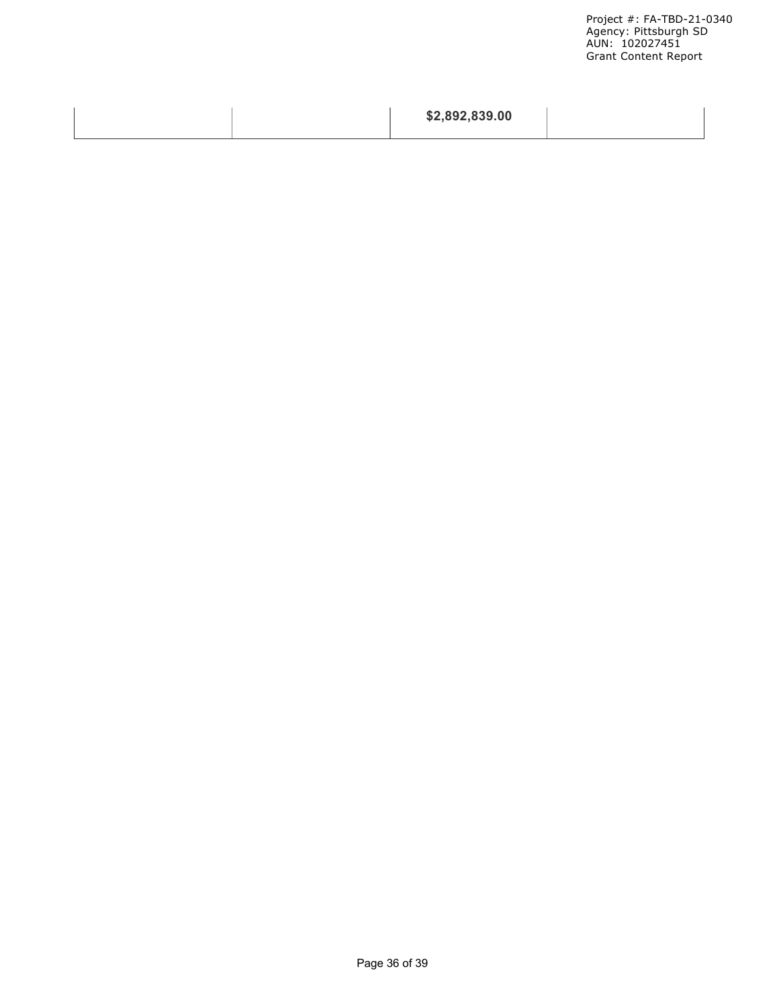Project #: FA-TBD-21-0340 Agency: Pittsburgh SD AUN: 102027451 Grant Content Report

|  | \$2,892,839.00 |  |
|--|----------------|--|
|  |                |  |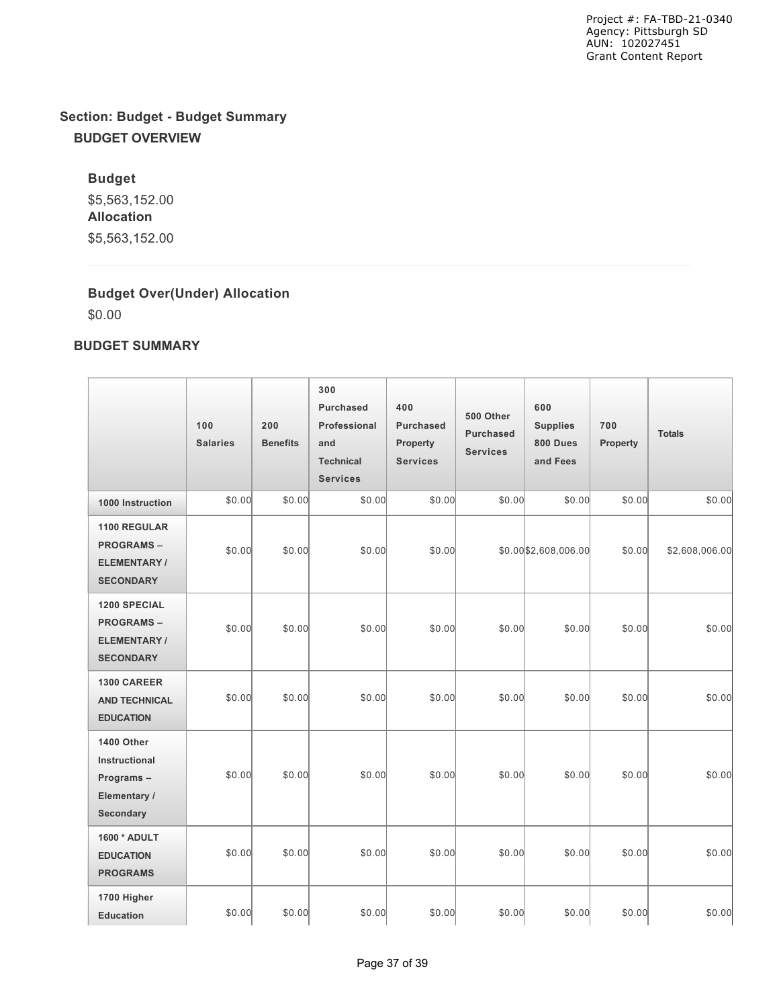# **Section: Budget - Budget Summary BUDGET OVERVIEW**

**Budget** \$5,563,152.00 **Allocation** \$5,563,152.00

## **Budget Over(Under) Allocation**

\$0.00

## **BUDGET SUMMARY**

|                                                                                   | 100<br><b>Salaries</b> | 200<br><b>Benefits</b> | 300<br>Purchased<br>Professional<br>and<br><b>Technical</b><br><b>Services</b> | 400<br>Purchased<br><b>Property</b><br><b>Services</b> | 500 Other<br><b>Purchased</b><br><b>Services</b> | 600<br><b>Supplies</b><br>800 Dues<br>and Fees | 700<br>Property | <b>Totals</b>  |
|-----------------------------------------------------------------------------------|------------------------|------------------------|--------------------------------------------------------------------------------|--------------------------------------------------------|--------------------------------------------------|------------------------------------------------|-----------------|----------------|
| 1000 Instruction                                                                  | \$0.00                 | \$0.00                 | \$0.00                                                                         | \$0.00                                                 | \$0.00                                           | \$0.00                                         | \$0.00          | \$0.00         |
| 1100 REGULAR<br><b>PROGRAMS-</b><br><b>ELEMENTARY/</b><br><b>SECONDARY</b>        | \$0.00                 | \$0.00                 | \$0.00                                                                         | \$0.00                                                 |                                                  | \$0.00 \$2,608,006.00                          | \$0.00          | \$2,608,006.00 |
| <b>1200 SPECIAL</b><br><b>PROGRAMS-</b><br><b>ELEMENTARY/</b><br><b>SECONDARY</b> | \$0.00                 | \$0.00                 | \$0.00                                                                         | \$0.00                                                 | \$0.00                                           | \$0.00                                         | \$0.00          | \$0.00         |
| 1300 CAREER<br><b>AND TECHNICAL</b><br><b>EDUCATION</b>                           | \$0.00                 | \$0.00                 | \$0.00                                                                         | \$0.00                                                 | \$0.00                                           | \$0.00                                         | \$0.00          | \$0.00         |
| 1400 Other<br>Instructional<br>Programs-<br>Elementary /<br>Secondary             | \$0.00                 | \$0.00                 | \$0.00                                                                         | \$0.00                                                 | \$0.00                                           | \$0.00                                         | \$0.00          | \$0.00         |
| 1600 * ADULT<br><b>EDUCATION</b><br><b>PROGRAMS</b>                               | \$0.00                 | \$0.00                 | \$0.00                                                                         | \$0.00                                                 | \$0.00                                           | \$0.00                                         | \$0.00          | \$0.00         |
| 1700 Higher<br><b>Education</b>                                                   | \$0.00                 | \$0.00                 | \$0.00                                                                         | \$0.00                                                 | \$0.00                                           | \$0.00                                         | \$0.00          | \$0.00         |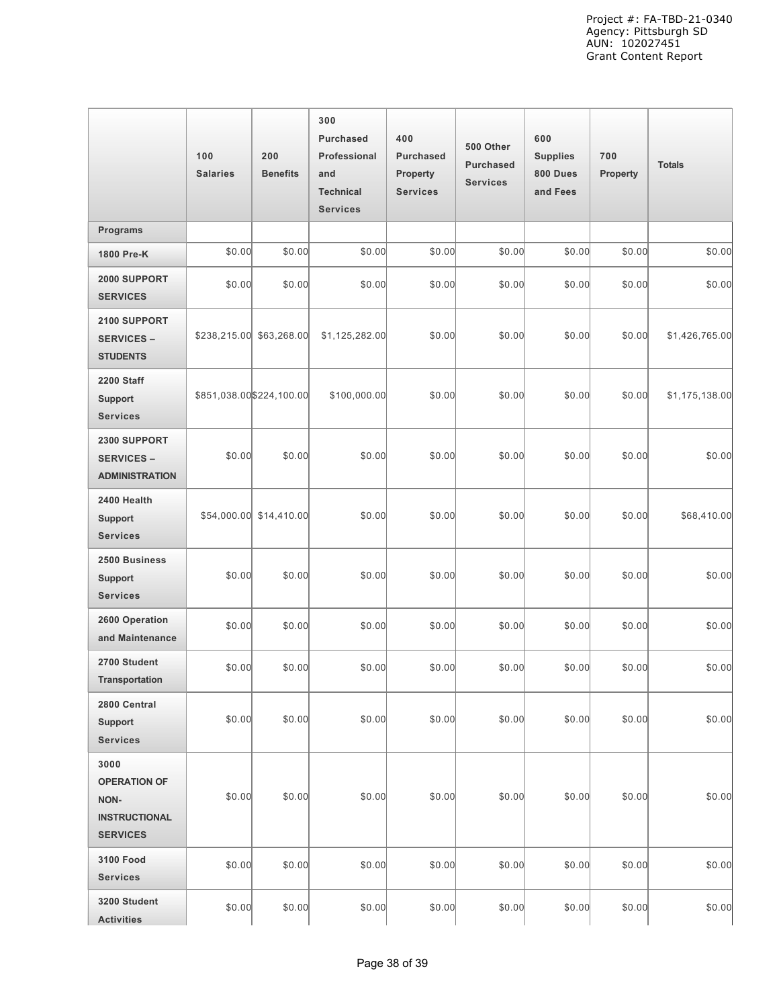|                                                                                | 100<br><b>Salaries</b>    | 200<br><b>Benefits</b>  | 300<br><b>Purchased</b><br>Professional<br>and<br><b>Technical</b><br><b>Services</b> | 400<br><b>Purchased</b><br><b>Property</b><br><b>Services</b> | 500 Other<br><b>Purchased</b><br><b>Services</b> | 600<br><b>Supplies</b><br>800 Dues<br>and Fees | 700<br>Property | <b>Totals</b>  |
|--------------------------------------------------------------------------------|---------------------------|-------------------------|---------------------------------------------------------------------------------------|---------------------------------------------------------------|--------------------------------------------------|------------------------------------------------|-----------------|----------------|
| <b>Programs</b>                                                                |                           |                         |                                                                                       |                                                               |                                                  |                                                |                 |                |
| 1800 Pre-K                                                                     | \$0.00                    | \$0.00                  | \$0.00                                                                                | \$0.00                                                        | \$0.00                                           | \$0.00                                         | \$0.00          | \$0.00         |
| 2000 SUPPORT<br><b>SERVICES</b>                                                | \$0.00                    | \$0.00                  | \$0.00                                                                                | \$0.00                                                        | \$0.00                                           | \$0.00                                         | \$0.00          | \$0.00         |
| 2100 SUPPORT<br><b>SERVICES -</b><br><b>STUDENTS</b>                           | \$238,215.00              | \$63,268.00             | \$1,125,282.00                                                                        | \$0.00                                                        | \$0.00                                           | \$0.00                                         | \$0.00          | \$1,426,765.00 |
| <b>2200 Staff</b><br><b>Support</b><br><b>Services</b>                         | \$851,038.00 \$224,100.00 |                         | \$100,000.00                                                                          | \$0.00                                                        | \$0.00                                           | \$0.00                                         | \$0.00          | \$1,175,138.00 |
| 2300 SUPPORT<br><b>SERVICES -</b><br><b>ADMINISTRATION</b>                     | \$0.00                    | \$0.00                  | \$0.00                                                                                | \$0.00                                                        | \$0.00                                           | \$0.00                                         | \$0.00          | \$0.00         |
| 2400 Health<br><b>Support</b><br><b>Services</b>                               |                           | \$54,000.00 \$14,410.00 | \$0.00                                                                                | \$0.00                                                        | \$0.00                                           | \$0.00                                         | \$0.00          | \$68,410.00    |
| 2500 Business<br><b>Support</b><br><b>Services</b>                             | \$0.00                    | \$0.00                  | \$0.00                                                                                | \$0.00                                                        | \$0.00                                           | \$0.00                                         | \$0.00          | \$0.00         |
| 2600 Operation<br>and Maintenance                                              | \$0.00                    | \$0.00                  | \$0.00                                                                                | \$0.00                                                        | \$0.00                                           | \$0.00                                         | \$0.00          | \$0.00         |
| 2700 Student<br><b>Transportation</b>                                          | \$0.00                    | \$0.00                  | \$0.00                                                                                | \$0.00                                                        | \$0.00                                           | \$0.00                                         | \$0.00          | \$0.00         |
| 2800 Central<br><b>Support</b><br><b>Services</b>                              | \$0.00                    | \$0.00                  | \$0.00                                                                                | \$0.00                                                        | \$0.00                                           | \$0.00                                         | \$0.00          | \$0.00         |
| 3000<br><b>OPERATION OF</b><br>NON-<br><b>INSTRUCTIONAL</b><br><b>SERVICES</b> | \$0.00                    | \$0.00                  | \$0.00                                                                                | \$0.00                                                        | \$0.00                                           | \$0.00                                         | \$0.00          | \$0.00         |
| <b>3100 Food</b><br><b>Services</b>                                            | \$0.00                    | \$0.00                  | \$0.00                                                                                | \$0.00                                                        | \$0.00                                           | \$0.00                                         | \$0.00          | \$0.00         |
| 3200 Student<br><b>Activities</b>                                              | \$0.00                    | \$0.00                  | \$0.00                                                                                | \$0.00                                                        | \$0.00                                           | \$0.00                                         | \$0.00          | \$0.00         |